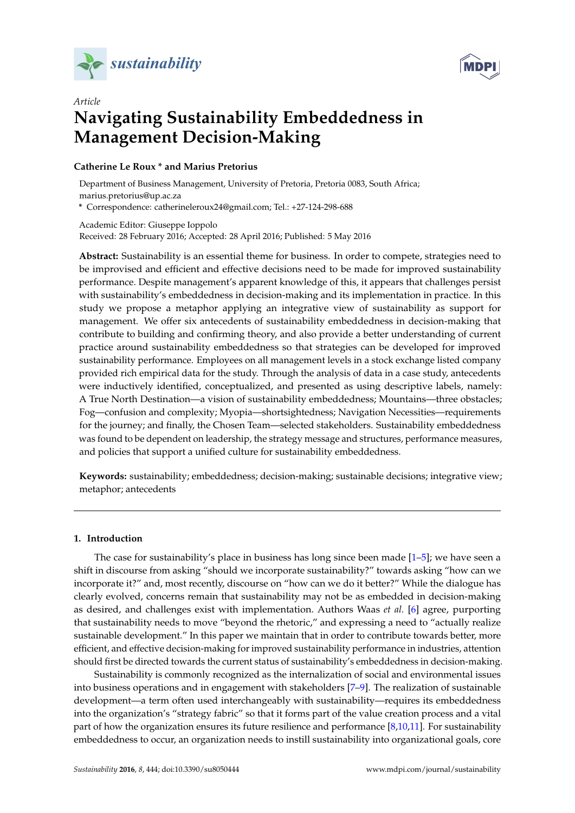



# *Article* **Navigating Sustainability Embeddedness in Management Decision-Making**

# **Catherine Le Roux \* and Marius Pretorius**

Department of Business Management, University of Pretoria, Pretoria 0083, South Africa; marius.pretorius@up.ac.za

**\*** Correspondence: catherineleroux24@gmail.com; Tel.: +27-124-298-688

Academic Editor: Giuseppe Ioppolo Received: 28 February 2016; Accepted: 28 April 2016; Published: 5 May 2016

**Abstract:** Sustainability is an essential theme for business. In order to compete, strategies need to be improvised and efficient and effective decisions need to be made for improved sustainability performance. Despite management's apparent knowledge of this, it appears that challenges persist with sustainability's embeddedness in decision-making and its implementation in practice. In this study we propose a metaphor applying an integrative view of sustainability as support for management. We offer six antecedents of sustainability embeddedness in decision-making that contribute to building and confirming theory, and also provide a better understanding of current practice around sustainability embeddedness so that strategies can be developed for improved sustainability performance. Employees on all management levels in a stock exchange listed company provided rich empirical data for the study. Through the analysis of data in a case study, antecedents were inductively identified, conceptualized, and presented as using descriptive labels, namely: A True North Destination—a vision of sustainability embeddedness; Mountains—three obstacles; Fog—confusion and complexity; Myopia—shortsightedness; Navigation Necessities—requirements for the journey; and finally, the Chosen Team—selected stakeholders. Sustainability embeddedness was found to be dependent on leadership, the strategy message and structures, performance measures, and policies that support a unified culture for sustainability embeddedness.

**Keywords:** sustainability; embeddedness; decision-making; sustainable decisions; integrative view; metaphor; antecedents

# **1. Introduction**

The case for sustainability's place in business has long since been made  $[1-5]$  $[1-5]$ ; we have seen a shift in discourse from asking "should we incorporate sustainability?" towards asking "how can we incorporate it?" and, most recently, discourse on "how can we do it better?" While the dialogue has clearly evolved, concerns remain that sustainability may not be as embedded in decision-making as desired, and challenges exist with implementation. Authors Waas *et al.* [\[6\]](#page-19-1) agree, purporting that sustainability needs to move "beyond the rhetoric," and expressing a need to "actually realize sustainable development." In this paper we maintain that in order to contribute towards better, more efficient, and effective decision-making for improved sustainability performance in industries, attention should first be directed towards the current status of sustainability's embeddedness in decision-making.

Sustainability is commonly recognized as the internalization of social and environmental issues into business operations and in engagement with stakeholders [\[7–](#page-19-2)[9\]](#page-19-3). The realization of sustainable development—a term often used interchangeably with sustainability—requires its embeddedness into the organization's "strategy fabric" so that it forms part of the value creation process and a vital part of how the organization ensures its future resilience and performance  $[8,10,11]$  $[8,10,11]$  $[8,10,11]$ . For sustainability embeddedness to occur, an organization needs to instill sustainability into organizational goals, core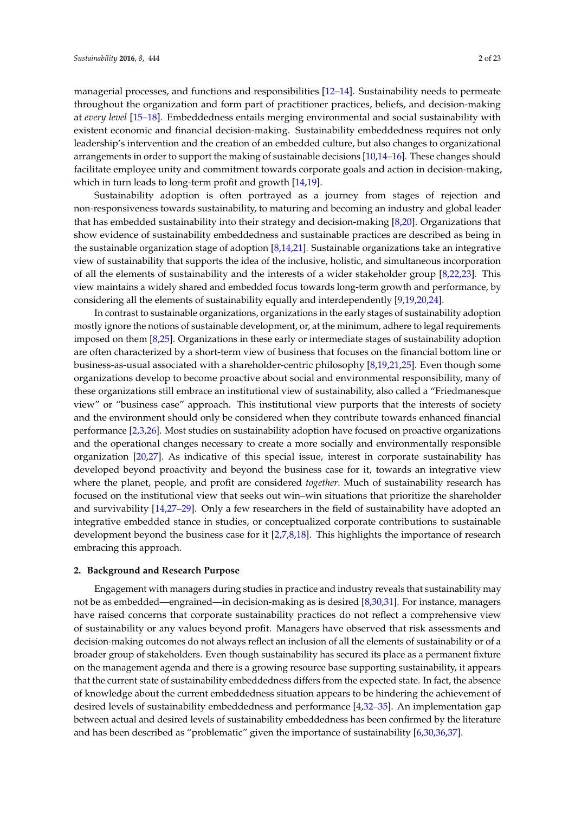managerial processes, and functions and responsibilities [\[12–](#page-19-7)[14\]](#page-19-8). Sustainability needs to permeate throughout the organization and form part of practitioner practices, beliefs, and decision-making at *every level* [\[15–](#page-19-9)[18\]](#page-19-10)*.* Embeddedness entails merging environmental and social sustainability with existent economic and financial decision-making. Sustainability embeddedness requires not only leadership's intervention and the creation of an embedded culture, but also changes to organizational arrangements in order to support the making of sustainable decisions [\[10,](#page-19-5)[14](#page-19-8)[–16\]](#page-19-11). These changes should facilitate employee unity and commitment towards corporate goals and action in decision-making, which in turn leads to long-term profit and growth [\[14,](#page-19-8)[19\]](#page-19-12).

Sustainability adoption is often portrayed as a journey from stages of rejection and non-responsiveness towards sustainability, to maturing and becoming an industry and global leader that has embedded sustainability into their strategy and decision-making [\[8](#page-19-4)[,20\]](#page-19-13). Organizations that show evidence of sustainability embeddedness and sustainable practices are described as being in the sustainable organization stage of adoption [\[8](#page-19-4)[,14](#page-19-8)[,21\]](#page-19-14)*.* Sustainable organizations take an integrative view of sustainability that supports the idea of the inclusive, holistic, and simultaneous incorporation of all the elements of sustainability and the interests of a wider stakeholder group [\[8,](#page-19-4)[22,](#page-19-15)[23\]](#page-19-16). This view maintains a widely shared and embedded focus towards long-term growth and performance, by considering all the elements of sustainability equally and interdependently [\[9](#page-19-3)[,19](#page-19-12)[,20,](#page-19-13)[24\]](#page-19-17).

In contrast to sustainable organizations, organizations in the early stages of sustainability adoption mostly ignore the notions of sustainable development, or, at the minimum, adhere to legal requirements imposed on them [\[8,](#page-19-4)[25\]](#page-19-18). Organizations in these early or intermediate stages of sustainability adoption are often characterized by a short-term view of business that focuses on the financial bottom line or business-as-usual associated with a shareholder-centric philosophy [\[8](#page-19-4)[,19](#page-19-12)[,21](#page-19-14)[,25\]](#page-19-18). Even though some organizations develop to become proactive about social and environmental responsibility, many of these organizations still embrace an institutional view of sustainability, also called a "Friedmanesque view" or "business case" approach. This institutional view purports that the interests of society and the environment should only be considered when they contribute towards enhanced financial performance [\[2](#page-18-1)[,3](#page-18-2)[,26\]](#page-19-19). Most studies on sustainability adoption have focused on proactive organizations and the operational changes necessary to create a more socially and environmentally responsible organization [\[20](#page-19-13)[,27\]](#page-19-20). As indicative of this special issue, interest in corporate sustainability has developed beyond proactivity and beyond the business case for it, towards an integrative view where the planet, people, and profit are considered *together*. Much of sustainability research has focused on the institutional view that seeks out win–win situations that prioritize the shareholder and survivability [\[14](#page-19-8)[,27](#page-19-20)[–29\]](#page-19-21). Only a few researchers in the field of sustainability have adopted an integrative embedded stance in studies, or conceptualized corporate contributions to sustainable development beyond the business case for it [\[2](#page-18-1)[,7](#page-19-2)[,8](#page-19-4)[,18\]](#page-19-10). This highlights the importance of research embracing this approach.

#### **2. Background and Research Purpose**

Engagement with managers during studies in practice and industry reveals that sustainability may not be as embedded—engrained—in decision-making as is desired [\[8](#page-19-4)[,30,](#page-19-22)[31\]](#page-20-0). For instance, managers have raised concerns that corporate sustainability practices do not reflect a comprehensive view of sustainability or any values beyond profit. Managers have observed that risk assessments and decision-making outcomes do not always reflect an inclusion of all the elements of sustainability or of a broader group of stakeholders. Even though sustainability has secured its place as a permanent fixture on the management agenda and there is a growing resource base supporting sustainability, it appears that the current state of sustainability embeddedness differs from the expected state. In fact, the absence of knowledge about the current embeddedness situation appears to be hindering the achievement of desired levels of sustainability embeddedness and performance [\[4,](#page-18-3)[32–](#page-20-1)[35\]](#page-20-2). An implementation gap between actual and desired levels of sustainability embeddedness has been confirmed by the literature and has been described as "problematic" given the importance of sustainability [\[6](#page-19-1)[,30](#page-19-22)[,36](#page-20-3)[,37\]](#page-20-4).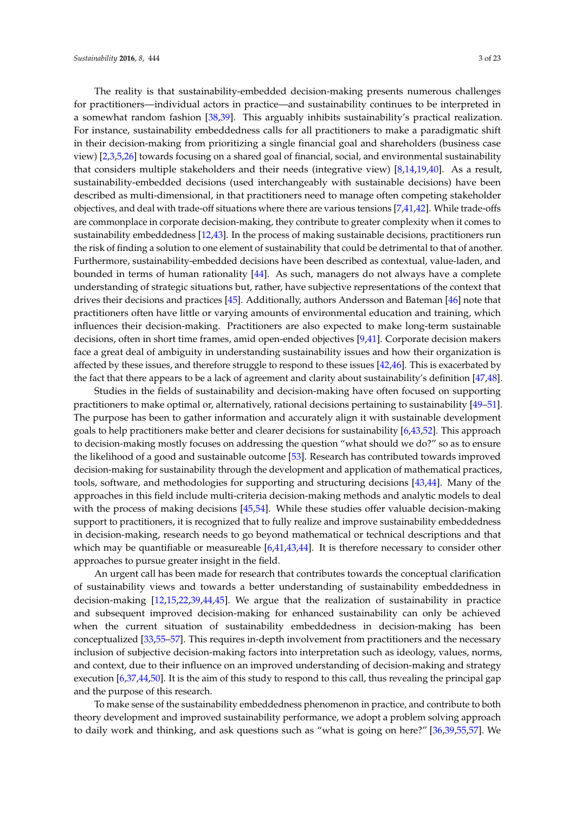The reality is that sustainability-embedded decision-making presents numerous challenges for practitioners—individual actors in practice—and sustainability continues to be interpreted in a somewhat random fashion [\[38](#page-20-5)[,39\]](#page-20-6). This arguably inhibits sustainability's practical realization. For instance, sustainability embeddedness calls for all practitioners to make a paradigmatic shift in their decision-making from prioritizing a single financial goal and shareholders (business case view) [\[2](#page-18-1)[,3,](#page-18-2)[5,](#page-19-0)[26\]](#page-19-19) towards focusing on a shared goal of financial, social, and environmental sustainability that considers multiple stakeholders and their needs (integrative view) [\[8,](#page-19-4)[14,](#page-19-8)[19,](#page-19-12)[40\]](#page-20-7). As a result, sustainability-embedded decisions (used interchangeably with sustainable decisions) have been described as multi-dimensional, in that practitioners need to manage often competing stakeholder objectives, and deal with trade-off situations where there are various tensions [\[7](#page-19-2)[,41](#page-20-8)[,42\]](#page-20-9). While trade-offs are commonplace in corporate decision-making, they contribute to greater complexity when it comes to sustainability embeddedness [\[12](#page-19-7)[,43\]](#page-20-10). In the process of making sustainable decisions, practitioners run the risk of finding a solution to one element of sustainability that could be detrimental to that of another. Furthermore, sustainability-embedded decisions have been described as contextual, value-laden, and bounded in terms of human rationality [\[44\]](#page-20-11). As such, managers do not always have a complete understanding of strategic situations but, rather, have subjective representations of the context that drives their decisions and practices [\[45\]](#page-20-12). Additionally, authors Andersson and Bateman [\[46\]](#page-20-13) note that practitioners often have little or varying amounts of environmental education and training, which influences their decision-making. Practitioners are also expected to make long-term sustainable decisions, often in short time frames, amid open-ended objectives [\[9](#page-19-3)[,41\]](#page-20-8). Corporate decision makers face a great deal of ambiguity in understanding sustainability issues and how their organization is affected by these issues, and therefore struggle to respond to these issues  $[42,46]$  $[42,46]$ . This is exacerbated by the fact that there appears to be a lack of agreement and clarity about sustainability's definition [\[47](#page-20-14)[,48\]](#page-20-15).

Studies in the fields of sustainability and decision-making have often focused on supporting practitioners to make optimal or, alternatively, rational decisions pertaining to sustainability [\[49–](#page-20-16)[51\]](#page-20-17). The purpose has been to gather information and accurately align it with sustainable development goals to help practitioners make better and clearer decisions for sustainability [\[6,](#page-19-1)[43,](#page-20-10)[52\]](#page-20-18). This approach to decision-making mostly focuses on addressing the question "what should we do?" so as to ensure the likelihood of a good and sustainable outcome [\[53\]](#page-20-19). Research has contributed towards improved decision-making for sustainability through the development and application of mathematical practices, tools, software, and methodologies for supporting and structuring decisions [\[43](#page-20-10)[,44\]](#page-20-11). Many of the approaches in this field include multi-criteria decision-making methods and analytic models to deal with the process of making decisions [\[45,](#page-20-12)[54\]](#page-20-20). While these studies offer valuable decision-making support to practitioners, it is recognized that to fully realize and improve sustainability embeddedness in decision-making, research needs to go beyond mathematical or technical descriptions and that which may be quantifiable or measureable  $[6,41,43,44]$  $[6,41,43,44]$  $[6,41,43,44]$  $[6,41,43,44]$ . It is therefore necessary to consider other approaches to pursue greater insight in the field.

An urgent call has been made for research that contributes towards the conceptual clarification of sustainability views and towards a better understanding of sustainability embeddedness in decision-making [\[12,](#page-19-7)[15,](#page-19-9)[22,](#page-19-15)[39,](#page-20-6)[44,](#page-20-11)[45\]](#page-20-12). We argue that the realization of sustainability in practice and subsequent improved decision-making for enhanced sustainability can only be achieved when the current situation of sustainability embeddedness in decision-making has been conceptualized [\[33,](#page-20-21)[55](#page-20-22)[–57\]](#page-20-23). This requires in-depth involvement from practitioners and the necessary inclusion of subjective decision-making factors into interpretation such as ideology, values, norms, and context, due to their influence on an improved understanding of decision-making and strategy execution [\[6](#page-19-1)[,37,](#page-20-4)[44,](#page-20-11)[50\]](#page-20-24). It is the aim of this study to respond to this call, thus revealing the principal gap and the purpose of this research.

To make sense of the sustainability embeddedness phenomenon in practice, and contribute to both theory development and improved sustainability performance, we adopt a problem solving approach to daily work and thinking, and ask questions such as "what is going on here?" [\[36,](#page-20-3)[39,](#page-20-6)[55,](#page-20-22)[57\]](#page-20-23). We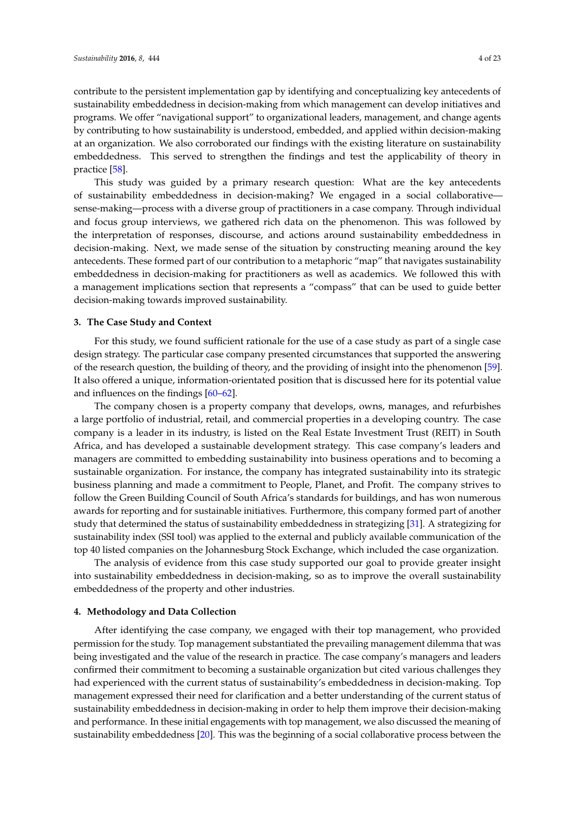contribute to the persistent implementation gap by identifying and conceptualizing key antecedents of sustainability embeddedness in decision-making from which management can develop initiatives and programs. We offer "navigational support" to organizational leaders, management, and change agents by contributing to how sustainability is understood, embedded, and applied within decision-making at an organization. We also corroborated our findings with the existing literature on sustainability embeddedness. This served to strengthen the findings and test the applicability of theory in practice [\[58\]](#page-20-25).

This study was guided by a primary research question: What are the key antecedents of sustainability embeddedness in decision-making? We engaged in a social collaborative sense-making—process with a diverse group of practitioners in a case company. Through individual and focus group interviews, we gathered rich data on the phenomenon. This was followed by the interpretation of responses, discourse, and actions around sustainability embeddedness in decision-making. Next, we made sense of the situation by constructing meaning around the key antecedents. These formed part of our contribution to a metaphoric "map" that navigates sustainability embeddedness in decision-making for practitioners as well as academics. We followed this with a management implications section that represents a "compass" that can be used to guide better decision-making towards improved sustainability.

## **3. The Case Study and Context**

For this study, we found sufficient rationale for the use of a case study as part of a single case design strategy. The particular case company presented circumstances that supported the answering of the research question, the building of theory, and the providing of insight into the phenomenon [\[59\]](#page-21-0). It also offered a unique, information-orientated position that is discussed here for its potential value and influences on the findings [\[60](#page-21-1)[–62\]](#page-21-2).

The company chosen is a property company that develops, owns, manages, and refurbishes a large portfolio of industrial, retail, and commercial properties in a developing country. The case company is a leader in its industry, is listed on the Real Estate Investment Trust (REIT) in South Africa, and has developed a sustainable development strategy. This case company's leaders and managers are committed to embedding sustainability into business operations and to becoming a sustainable organization. For instance, the company has integrated sustainability into its strategic business planning and made a commitment to People, Planet, and Profit. The company strives to follow the Green Building Council of South Africa's standards for buildings, and has won numerous awards for reporting and for sustainable initiatives. Furthermore, this company formed part of another study that determined the status of sustainability embeddedness in strategizing [\[31\]](#page-20-0). A strategizing for sustainability index (SSI tool) was applied to the external and publicly available communication of the top 40 listed companies on the Johannesburg Stock Exchange, which included the case organization.

The analysis of evidence from this case study supported our goal to provide greater insight into sustainability embeddedness in decision-making, so as to improve the overall sustainability embeddedness of the property and other industries.

#### **4. Methodology and Data Collection**

After identifying the case company, we engaged with their top management, who provided permission for the study. Top management substantiated the prevailing management dilemma that was being investigated and the value of the research in practice. The case company's managers and leaders confirmed their commitment to becoming a sustainable organization but cited various challenges they had experienced with the current status of sustainability's embeddedness in decision-making. Top management expressed their need for clarification and a better understanding of the current status of sustainability embeddedness in decision-making in order to help them improve their decision-making and performance. In these initial engagements with top management, we also discussed the meaning of sustainability embeddedness [\[20\]](#page-19-13). This was the beginning of a social collaborative process between the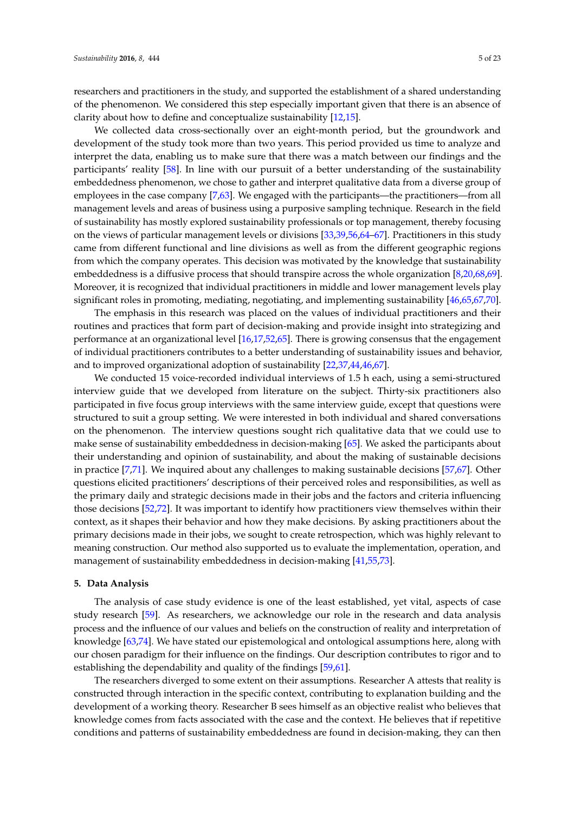researchers and practitioners in the study, and supported the establishment of a shared understanding of the phenomenon. We considered this step especially important given that there is an absence of clarity about how to define and conceptualize sustainability [\[12](#page-19-7)[,15\]](#page-19-9).

We collected data cross-sectionally over an eight-month period, but the groundwork and development of the study took more than two years. This period provided us time to analyze and interpret the data, enabling us to make sure that there was a match between our findings and the participants' reality [\[58\]](#page-20-25). In line with our pursuit of a better understanding of the sustainability embeddedness phenomenon, we chose to gather and interpret qualitative data from a diverse group of employees in the case company [\[7,](#page-19-2)[63\]](#page-21-3). We engaged with the participants—the practitioners—from all management levels and areas of business using a purposive sampling technique. Research in the field of sustainability has mostly explored sustainability professionals or top management, thereby focusing on the views of particular management levels or divisions [\[33,](#page-20-21)[39](#page-20-6)[,56](#page-20-26)[,64–](#page-21-4)[67\]](#page-21-5). Practitioners in this study came from different functional and line divisions as well as from the different geographic regions from which the company operates. This decision was motivated by the knowledge that sustainability embeddedness is a diffusive process that should transpire across the whole organization [\[8](#page-19-4)[,20,](#page-19-13)[68,](#page-21-6)[69\]](#page-21-7). Moreover, it is recognized that individual practitioners in middle and lower management levels play significant roles in promoting, mediating, negotiating, and implementing sustainability [\[46](#page-20-13)[,65](#page-21-8)[,67,](#page-21-5)[70\]](#page-21-9).

The emphasis in this research was placed on the values of individual practitioners and their routines and practices that form part of decision-making and provide insight into strategizing and performance at an organizational level [\[16,](#page-19-11)[17,](#page-19-23)[52](#page-20-18)[,65\]](#page-21-8). There is growing consensus that the engagement of individual practitioners contributes to a better understanding of sustainability issues and behavior, and to improved organizational adoption of sustainability [\[22](#page-19-15)[,37](#page-20-4)[,44,](#page-20-11)[46,](#page-20-13)[67\]](#page-21-5).

We conducted 15 voice-recorded individual interviews of 1.5 h each, using a semi-structured interview guide that we developed from literature on the subject. Thirty-six practitioners also participated in five focus group interviews with the same interview guide, except that questions were structured to suit a group setting. We were interested in both individual and shared conversations on the phenomenon. The interview questions sought rich qualitative data that we could use to make sense of sustainability embeddedness in decision-making [\[65\]](#page-21-8). We asked the participants about their understanding and opinion of sustainability, and about the making of sustainable decisions in practice [\[7](#page-19-2)[,71\]](#page-21-10). We inquired about any challenges to making sustainable decisions [\[57](#page-20-23)[,67\]](#page-21-5). Other questions elicited practitioners' descriptions of their perceived roles and responsibilities, as well as the primary daily and strategic decisions made in their jobs and the factors and criteria influencing those decisions [\[52,](#page-20-18)[72\]](#page-21-11). It was important to identify how practitioners view themselves within their context, as it shapes their behavior and how they make decisions. By asking practitioners about the primary decisions made in their jobs, we sought to create retrospection, which was highly relevant to meaning construction. Our method also supported us to evaluate the implementation, operation, and management of sustainability embeddedness in decision-making [\[41](#page-20-8)[,55](#page-20-22)[,73\]](#page-21-12).

# **5. Data Analysis**

The analysis of case study evidence is one of the least established, yet vital, aspects of case study research [\[59\]](#page-21-0). As researchers, we acknowledge our role in the research and data analysis process and the influence of our values and beliefs on the construction of reality and interpretation of knowledge [\[63,](#page-21-3)[74\]](#page-21-13). We have stated our epistemological and ontological assumptions here, along with our chosen paradigm for their influence on the findings. Our description contributes to rigor and to establishing the dependability and quality of the findings [\[59](#page-21-0)[,61\]](#page-21-14).

The researchers diverged to some extent on their assumptions. Researcher A attests that reality is constructed through interaction in the specific context, contributing to explanation building and the development of a working theory. Researcher B sees himself as an objective realist who believes that knowledge comes from facts associated with the case and the context. He believes that if repetitive conditions and patterns of sustainability embeddedness are found in decision-making, they can then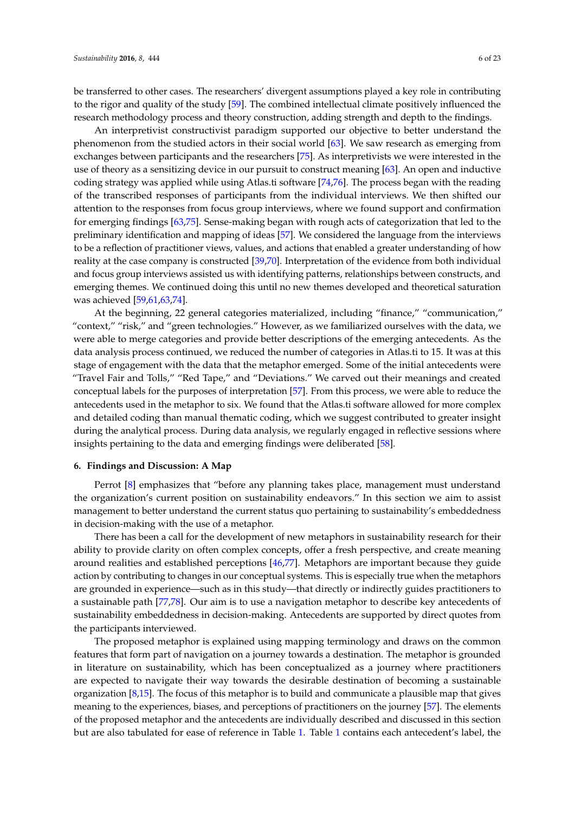be transferred to other cases. The researchers' divergent assumptions played a key role in contributing to the rigor and quality of the study [\[59\]](#page-21-0). The combined intellectual climate positively influenced the research methodology process and theory construction, adding strength and depth to the findings.

An interpretivist constructivist paradigm supported our objective to better understand the phenomenon from the studied actors in their social world [\[63\]](#page-21-3). We saw research as emerging from exchanges between participants and the researchers [\[75\]](#page-21-15). As interpretivists we were interested in the use of theory as a sensitizing device in our pursuit to construct meaning [\[63\]](#page-21-3). An open and inductive coding strategy was applied while using Atlas.ti software [\[74,](#page-21-13)[76\]](#page-21-16). The process began with the reading of the transcribed responses of participants from the individual interviews. We then shifted our attention to the responses from focus group interviews, where we found support and confirmation for emerging findings [\[63,](#page-21-3)[75\]](#page-21-15). Sense-making began with rough acts of categorization that led to the preliminary identification and mapping of ideas [\[57\]](#page-20-23). We considered the language from the interviews to be a reflection of practitioner views, values, and actions that enabled a greater understanding of how reality at the case company is constructed [\[39](#page-20-6)[,70\]](#page-21-9). Interpretation of the evidence from both individual and focus group interviews assisted us with identifying patterns, relationships between constructs, and emerging themes. We continued doing this until no new themes developed and theoretical saturation was achieved [\[59](#page-21-0)[,61,](#page-21-14)[63,](#page-21-3)[74\]](#page-21-13).

At the beginning, 22 general categories materialized, including "finance," "communication," "context," "risk," and "green technologies." However, as we familiarized ourselves with the data, we were able to merge categories and provide better descriptions of the emerging antecedents. As the data analysis process continued, we reduced the number of categories in Atlas.ti to 15. It was at this stage of engagement with the data that the metaphor emerged. Some of the initial antecedents were "Travel Fair and Tolls," "Red Tape," and "Deviations." We carved out their meanings and created conceptual labels for the purposes of interpretation [\[57\]](#page-20-23). From this process, we were able to reduce the antecedents used in the metaphor to six. We found that the Atlas.ti software allowed for more complex and detailed coding than manual thematic coding, which we suggest contributed to greater insight during the analytical process. During data analysis, we regularly engaged in reflective sessions where insights pertaining to the data and emerging findings were deliberated [\[58\]](#page-20-25).

## **6. Findings and Discussion: A Map**

Perrot [\[8\]](#page-19-4) emphasizes that "before any planning takes place, management must understand the organization's current position on sustainability endeavors." In this section we aim to assist management to better understand the current status quo pertaining to sustainability's embeddedness in decision-making with the use of a metaphor.

There has been a call for the development of new metaphors in sustainability research for their ability to provide clarity on often complex concepts, offer a fresh perspective, and create meaning around realities and established perceptions [\[46](#page-20-13)[,77\]](#page-21-17). Metaphors are important because they guide action by contributing to changes in our conceptual systems. This is especially true when the metaphors are grounded in experience—such as in this study—that directly or indirectly guides practitioners to a sustainable path [\[77](#page-21-17)[,78\]](#page-21-18). Our aim is to use a navigation metaphor to describe key antecedents of sustainability embeddedness in decision-making. Antecedents are supported by direct quotes from the participants interviewed.

The proposed metaphor is explained using mapping terminology and draws on the common features that form part of navigation on a journey towards a destination. The metaphor is grounded in literature on sustainability, which has been conceptualized as a journey where practitioners are expected to navigate their way towards the desirable destination of becoming a sustainable organization [\[8](#page-19-4)[,15\]](#page-19-9). The focus of this metaphor is to build and communicate a plausible map that gives meaning to the experiences, biases, and perceptions of practitioners on the journey [\[57\]](#page-20-23). The elements of the proposed metaphor and the antecedents are individually described and discussed in this section but are also tabulated for ease of reference in Table [1.](#page-6-0) Table [1](#page-6-0) contains each antecedent's label, the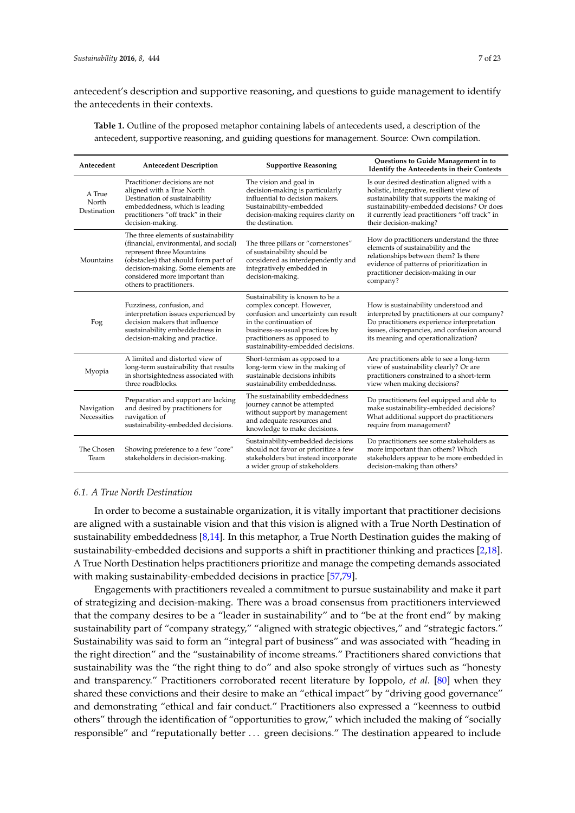antecedent's description and supportive reasoning, and questions to guide management to identify the antecedents in their contexts.

<span id="page-6-0"></span>**Table 1.** Outline of the proposed metaphor containing labels of antecedents used, a description of the antecedent, supportive reasoning, and guiding questions for management. Source: Own compilation.

| Antecedent                     | <b>Antecedent Description</b>                                                                                                                                                                                                                           | <b>Supportive Reasoning</b>                                                                                                                                                                                                           | Questions to Guide Management in to<br>Identify the Antecedents in their Contexts                                                                                                                                                                             |
|--------------------------------|---------------------------------------------------------------------------------------------------------------------------------------------------------------------------------------------------------------------------------------------------------|---------------------------------------------------------------------------------------------------------------------------------------------------------------------------------------------------------------------------------------|---------------------------------------------------------------------------------------------------------------------------------------------------------------------------------------------------------------------------------------------------------------|
| A True<br>North<br>Destination | Practitioner decisions are not<br>aligned with a True North<br>Destination of sustainability<br>embeddedness, which is leading<br>practitioners "off track" in their<br>decision-making.                                                                | The vision and goal in<br>decision-making is particularly<br>influential to decision makers.<br>Sustainability-embedded<br>decision-making requires clarity on<br>the destination.                                                    | Is our desired destination aligned with a<br>holistic, integrative, resilient view of<br>sustainability that supports the making of<br>sustainability-embedded decisions? Or does<br>it currently lead practitioners "off track" in<br>their decision-making? |
| Mountains                      | The three elements of sustainability<br>(financial, environmental, and social)<br>represent three Mountains<br>(obstacles) that should form part of<br>decision-making. Some elements are<br>considered more important than<br>others to practitioners. | The three pillars or "cornerstones"<br>of sustainability should be<br>considered as interdependently and<br>integratively embedded in<br>decision-making.                                                                             | How do practitioners understand the three<br>elements of sustainability and the<br>relationships between them? Is there<br>evidence of patterns of prioritization in<br>practitioner decision-making in our<br>company?                                       |
| Fog                            | Fuzziness, confusion, and<br>interpretation issues experienced by<br>decision makers that influence<br>sustainability embeddedness in<br>decision-making and practice.                                                                                  | Sustainability is known to be a<br>complex concept. However,<br>confusion and uncertainty can result<br>in the continuation of<br>business-as-usual practices by<br>practitioners as opposed to<br>sustainability-embedded decisions. | How is sustainability understood and<br>interpreted by practitioners at our company?<br>Do practitioners experience interpretation<br>issues, discrepancies, and confusion around<br>its meaning and operationalization?                                      |
| Myopia                         | A limited and distorted view of<br>long-term sustainability that results<br>in shortsightedness associated with<br>three roadblocks.                                                                                                                    | Short-termism as opposed to a<br>long-term view in the making of<br>sustainable decisions inhibits<br>sustainability embeddedness.                                                                                                    | Are practitioners able to see a long-term<br>view of sustainability clearly? Or are<br>practitioners constrained to a short-term<br>view when making decisions?                                                                                               |
| Navigation<br>Necessities      | Preparation and support are lacking<br>and desired by practitioners for<br>navigation of<br>sustainability-embedded decisions.                                                                                                                          | The sustainability embeddedness<br>journey cannot be attempted<br>without support by management<br>and adequate resources and<br>knowledge to make decisions.                                                                         | Do practitioners feel equipped and able to<br>make sustainability-embedded decisions?<br>What additional support do practitioners<br>require from management?                                                                                                 |
| The Chosen<br>Team             | Showing preference to a few "core"<br>stakeholders in decision-making.                                                                                                                                                                                  | Sustainability-embedded decisions<br>should not favor or prioritize a few<br>stakeholders but instead incorporate<br>a wider group of stakeholders.                                                                                   | Do practitioners see some stakeholders as<br>more important than others? Which<br>stakeholders appear to be more embedded in<br>decision-making than others?                                                                                                  |

## *6.1. A True North Destination*

In order to become a sustainable organization, it is vitally important that practitioner decisions are aligned with a sustainable vision and that this vision is aligned with a True North Destination of sustainability embeddedness [\[8](#page-19-4)[,14\]](#page-19-8). In this metaphor, a True North Destination guides the making of sustainability-embedded decisions and supports a shift in practitioner thinking and practices [\[2,](#page-18-1)[18\]](#page-19-10). A True North Destination helps practitioners prioritize and manage the competing demands associated with making sustainability-embedded decisions in practice [\[57](#page-20-23)[,79\]](#page-21-19).

Engagements with practitioners revealed a commitment to pursue sustainability and make it part of strategizing and decision-making. There was a broad consensus from practitioners interviewed that the company desires to be a "leader in sustainability" and to "be at the front end" by making sustainability part of "company strategy," "aligned with strategic objectives," and "strategic factors." Sustainability was said to form an "integral part of business" and was associated with "heading in the right direction" and the "sustainability of income streams." Practitioners shared convictions that sustainability was the "the right thing to do" and also spoke strongly of virtues such as "honesty and transparency." Practitioners corroborated recent literature by Ioppolo, *et al.* [\[80\]](#page-21-20) when they shared these convictions and their desire to make an "ethical impact" by "driving good governance" and demonstrating "ethical and fair conduct." Practitioners also expressed a "keenness to outbid others" through the identification of "opportunities to grow," which included the making of "socially responsible" and "reputationally better . . . green decisions." The destination appeared to include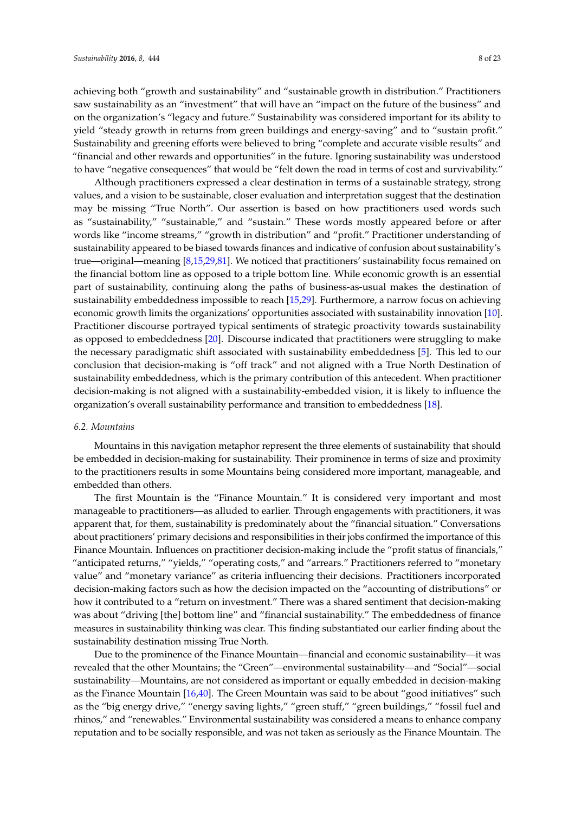achieving both "growth and sustainability" and "sustainable growth in distribution." Practitioners saw sustainability as an "investment" that will have an "impact on the future of the business" and on the organization's "legacy and future." Sustainability was considered important for its ability to yield "steady growth in returns from green buildings and energy-saving" and to "sustain profit." Sustainability and greening efforts were believed to bring "complete and accurate visible results" and "financial and other rewards and opportunities" in the future. Ignoring sustainability was understood to have "negative consequences" that would be "felt down the road in terms of cost and survivability."

Although practitioners expressed a clear destination in terms of a sustainable strategy, strong values, and a vision to be sustainable, closer evaluation and interpretation suggest that the destination may be missing "True North". Our assertion is based on how practitioners used words such as "sustainability," "sustainable," and "sustain." These words mostly appeared before or after words like "income streams," "growth in distribution" and "profit." Practitioner understanding of sustainability appeared to be biased towards finances and indicative of confusion about sustainability's true—original—meaning [\[8,](#page-19-4)[15,](#page-19-9)[29,](#page-19-21)[81\]](#page-21-21). We noticed that practitioners' sustainability focus remained on the financial bottom line as opposed to a triple bottom line. While economic growth is an essential part of sustainability, continuing along the paths of business-as-usual makes the destination of sustainability embeddedness impossible to reach [\[15](#page-19-9)[,29\]](#page-19-21). Furthermore, a narrow focus on achieving economic growth limits the organizations' opportunities associated with sustainability innovation [\[10\]](#page-19-5). Practitioner discourse portrayed typical sentiments of strategic proactivity towards sustainability as opposed to embeddedness [\[20\]](#page-19-13). Discourse indicated that practitioners were struggling to make the necessary paradigmatic shift associated with sustainability embeddedness [\[5\]](#page-19-0). This led to our conclusion that decision-making is "off track" and not aligned with a True North Destination of sustainability embeddedness, which is the primary contribution of this antecedent. When practitioner decision-making is not aligned with a sustainability-embedded vision, it is likely to influence the organization's overall sustainability performance and transition to embeddedness [\[18\]](#page-19-10).

## *6.2. Mountains*

Mountains in this navigation metaphor represent the three elements of sustainability that should be embedded in decision-making for sustainability. Their prominence in terms of size and proximity to the practitioners results in some Mountains being considered more important, manageable, and embedded than others.

The first Mountain is the "Finance Mountain." It is considered very important and most manageable to practitioners—as alluded to earlier. Through engagements with practitioners, it was apparent that, for them, sustainability is predominately about the "financial situation." Conversations about practitioners' primary decisions and responsibilities in their jobs confirmed the importance of this Finance Mountain. Influences on practitioner decision-making include the "profit status of financials," "anticipated returns," "yields," "operating costs," and "arrears." Practitioners referred to "monetary value" and "monetary variance" as criteria influencing their decisions. Practitioners incorporated decision-making factors such as how the decision impacted on the "accounting of distributions" or how it contributed to a "return on investment." There was a shared sentiment that decision-making was about "driving [the] bottom line" and "financial sustainability." The embeddedness of finance measures in sustainability thinking was clear. This finding substantiated our earlier finding about the sustainability destination missing True North.

Due to the prominence of the Finance Mountain—financial and economic sustainability—it was revealed that the other Mountains; the "Green"—environmental sustainability—and "Social"—social sustainability—Mountains, are not considered as important or equally embedded in decision-making as the Finance Mountain [\[16](#page-19-11)[,40\]](#page-20-7). The Green Mountain was said to be about "good initiatives" such as the "big energy drive," "energy saving lights," "green stuff," "green buildings," "fossil fuel and rhinos," and "renewables." Environmental sustainability was considered a means to enhance company reputation and to be socially responsible, and was not taken as seriously as the Finance Mountain. The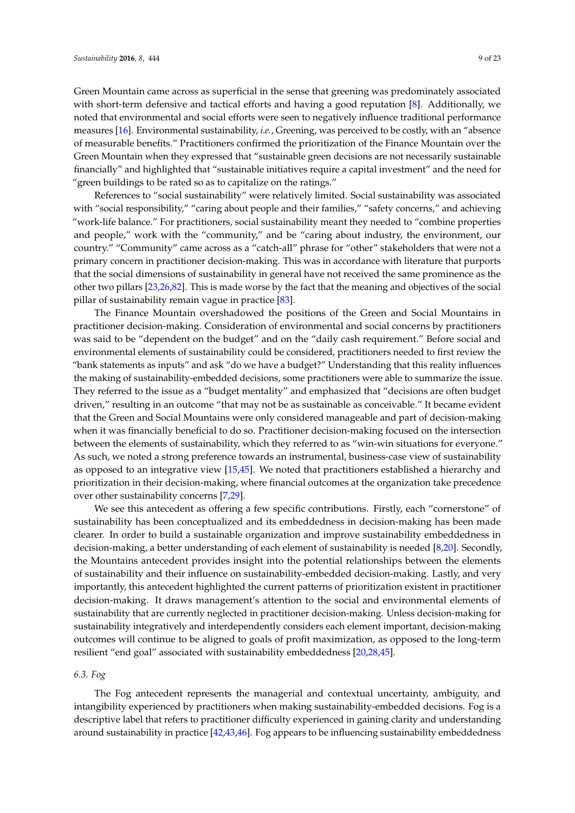Green Mountain came across as superficial in the sense that greening was predominately associated with short-term defensive and tactical efforts and having a good reputation [\[8\]](#page-19-4). Additionally, we noted that environmental and social efforts were seen to negatively influence traditional performance measures [\[16\]](#page-19-11). Environmental sustainability, *i.e.*, Greening, was perceived to be costly, with an "absence of measurable benefits." Practitioners confirmed the prioritization of the Finance Mountain over the Green Mountain when they expressed that "sustainable green decisions are not necessarily sustainable financially" and highlighted that "sustainable initiatives require a capital investment" and the need for "green buildings to be rated so as to capitalize on the ratings."

References to "social sustainability" were relatively limited. Social sustainability was associated with "social responsibility," "caring about people and their families," "safety concerns," and achieving "work-life balance." For practitioners, social sustainability meant they needed to "combine properties and people," work with the "community," and be "caring about industry, the environment, our country." "Community" came across as a "catch-all" phrase for "other" stakeholders that were not a primary concern in practitioner decision-making. This was in accordance with literature that purports that the social dimensions of sustainability in general have not received the same prominence as the other two pillars [\[23](#page-19-16)[,26,](#page-19-19)[82\]](#page-21-22). This is made worse by the fact that the meaning and objectives of the social pillar of sustainability remain vague in practice [\[83\]](#page-21-23).

The Finance Mountain overshadowed the positions of the Green and Social Mountains in practitioner decision-making. Consideration of environmental and social concerns by practitioners was said to be "dependent on the budget" and on the "daily cash requirement." Before social and environmental elements of sustainability could be considered, practitioners needed to first review the "bank statements as inputs" and ask "do we have a budget?" Understanding that this reality influences the making of sustainability-embedded decisions, some practitioners were able to summarize the issue. They referred to the issue as a "budget mentality" and emphasized that "decisions are often budget driven," resulting in an outcome "that may not be as sustainable as conceivable." It became evident that the Green and Social Mountains were only considered manageable and part of decision-making when it was financially beneficial to do so. Practitioner decision-making focused on the intersection between the elements of sustainability, which they referred to as "win-win situations for everyone." As such, we noted a strong preference towards an instrumental, business-case view of sustainability as opposed to an integrative view [\[15](#page-19-9)[,45\]](#page-20-12). We noted that practitioners established a hierarchy and prioritization in their decision-making, where financial outcomes at the organization take precedence over other sustainability concerns [\[7](#page-19-2)[,29\]](#page-19-21).

We see this antecedent as offering a few specific contributions. Firstly, each "cornerstone" of sustainability has been conceptualized and its embeddedness in decision-making has been made clearer. In order to build a sustainable organization and improve sustainability embeddedness in decision-making, a better understanding of each element of sustainability is needed [\[8](#page-19-4)[,20\]](#page-19-13). Secondly, the Mountains antecedent provides insight into the potential relationships between the elements of sustainability and their influence on sustainability-embedded decision-making. Lastly, and very importantly, this antecedent highlighted the current patterns of prioritization existent in practitioner decision-making. It draws management's attention to the social and environmental elements of sustainability that are currently neglected in practitioner decision-making. Unless decision-making for sustainability integratively and interdependently considers each element important, decision-making outcomes will continue to be aligned to goals of profit maximization, as opposed to the long-term resilient "end goal" associated with sustainability embeddedness [\[20](#page-19-13)[,28,](#page-19-24)[45\]](#page-20-12).

#### *6.3. Fog*

The Fog antecedent represents the managerial and contextual uncertainty, ambiguity, and intangibility experienced by practitioners when making sustainability-embedded decisions. Fog is a descriptive label that refers to practitioner difficulty experienced in gaining clarity and understanding around sustainability in practice [\[42](#page-20-9)[,43](#page-20-10)[,46\]](#page-20-13). Fog appears to be influencing sustainability embeddedness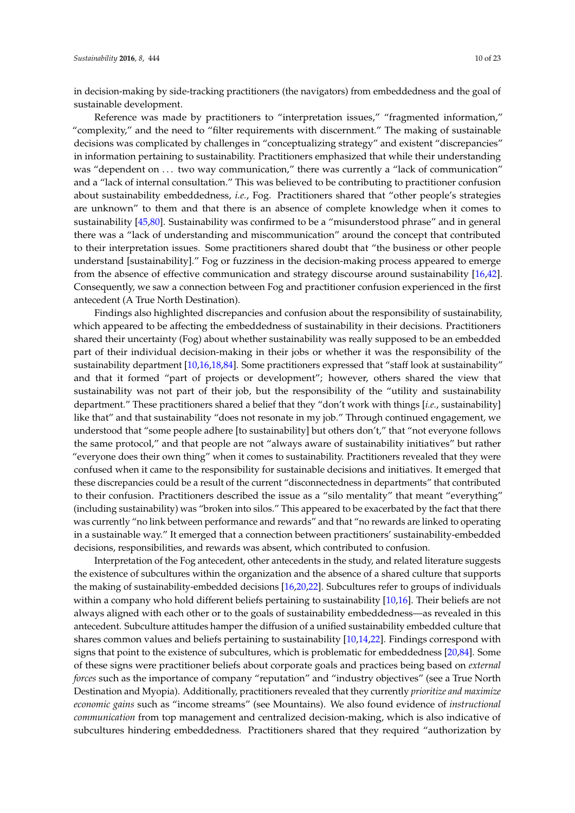in decision-making by side-tracking practitioners (the navigators) from embeddedness and the goal of sustainable development.

Reference was made by practitioners to "interpretation issues," "fragmented information," "complexity," and the need to "filter requirements with discernment." The making of sustainable decisions was complicated by challenges in "conceptualizing strategy" and existent "discrepancies" in information pertaining to sustainability. Practitioners emphasized that while their understanding was "dependent on ... two way communication," there was currently a "lack of communication" and a "lack of internal consultation." This was believed to be contributing to practitioner confusion about sustainability embeddedness, *i.e.*, Fog. Practitioners shared that "other people's strategies are unknown" to them and that there is an absence of complete knowledge when it comes to sustainability [\[45,](#page-20-12)[80\]](#page-21-20). Sustainability was confirmed to be a "misunderstood phrase" and in general there was a "lack of understanding and miscommunication" around the concept that contributed to their interpretation issues. Some practitioners shared doubt that "the business or other people understand [sustainability]." Fog or fuzziness in the decision-making process appeared to emerge from the absence of effective communication and strategy discourse around sustainability [\[16,](#page-19-11)[42\]](#page-20-9). Consequently, we saw a connection between Fog and practitioner confusion experienced in the first antecedent (A True North Destination).

Findings also highlighted discrepancies and confusion about the responsibility of sustainability, which appeared to be affecting the embeddedness of sustainability in their decisions. Practitioners shared their uncertainty (Fog) about whether sustainability was really supposed to be an embedded part of their individual decision-making in their jobs or whether it was the responsibility of the sustainability department [\[10,](#page-19-5)[16,](#page-19-11)[18](#page-19-10)[,84\]](#page-21-24). Some practitioners expressed that "staff look at sustainability" and that it formed "part of projects or development"; however, others shared the view that sustainability was not part of their job, but the responsibility of the "utility and sustainability department." These practitioners shared a belief that they "don't work with things [*i.e.*, sustainability] like that" and that sustainability "does not resonate in my job." Through continued engagement, we understood that "some people adhere [to sustainability] but others don't," that "not everyone follows the same protocol," and that people are not "always aware of sustainability initiatives" but rather "everyone does their own thing" when it comes to sustainability. Practitioners revealed that they were confused when it came to the responsibility for sustainable decisions and initiatives. It emerged that these discrepancies could be a result of the current "disconnectedness in departments" that contributed to their confusion. Practitioners described the issue as a "silo mentality" that meant "everything" (including sustainability) was "broken into silos." This appeared to be exacerbated by the fact that there was currently "no link between performance and rewards" and that "no rewards are linked to operating in a sustainable way." It emerged that a connection between practitioners' sustainability-embedded decisions, responsibilities, and rewards was absent, which contributed to confusion.

Interpretation of the Fog antecedent, other antecedents in the study, and related literature suggests the existence of subcultures within the organization and the absence of a shared culture that supports the making of sustainability-embedded decisions [\[16,](#page-19-11)[20](#page-19-13)[,22\]](#page-19-15). Subcultures refer to groups of individuals within a company who hold different beliefs pertaining to sustainability [\[10](#page-19-5)[,16\]](#page-19-11). Their beliefs are not always aligned with each other or to the goals of sustainability embeddedness—as revealed in this antecedent. Subculture attitudes hamper the diffusion of a unified sustainability embedded culture that shares common values and beliefs pertaining to sustainability [\[10,](#page-19-5)[14](#page-19-8)[,22\]](#page-19-15). Findings correspond with signs that point to the existence of subcultures, which is problematic for embeddedness [\[20](#page-19-13)[,84\]](#page-21-24). Some of these signs were practitioner beliefs about corporate goals and practices being based on *external forces* such as the importance of company "reputation" and "industry objectives" (see a True North Destination and Myopia). Additionally, practitioners revealed that they currently *prioritize and maximize economic gains* such as "income streams" (see Mountains). We also found evidence of *instructional communication* from top management and centralized decision-making, which is also indicative of subcultures hindering embeddedness. Practitioners shared that they required "authorization by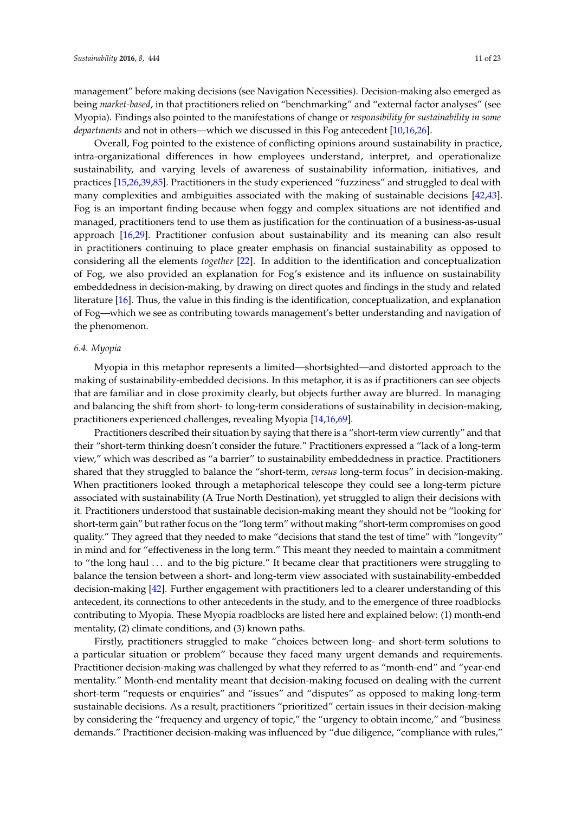management" before making decisions (see Navigation Necessities). Decision-making also emerged as being *market-based*, in that practitioners relied on "benchmarking" and "external factor analyses" (see Myopia). Findings also pointed to the manifestations of change or *responsibility for sustainability in some departments* and not in others—which we discussed in this Fog antecedent [\[10](#page-19-5)[,16](#page-19-11)[,26\]](#page-19-19).

Overall, Fog pointed to the existence of conflicting opinions around sustainability in practice, intra-organizational differences in how employees understand, interpret, and operationalize sustainability, and varying levels of awareness of sustainability information, initiatives, and practices [\[15,](#page-19-9)[26,](#page-19-19)[39,](#page-20-6)[85\]](#page-21-25). Practitioners in the study experienced "fuzziness" and struggled to deal with many complexities and ambiguities associated with the making of sustainable decisions [\[42,](#page-20-9)[43\]](#page-20-10). Fog is an important finding because when foggy and complex situations are not identified and managed, practitioners tend to use them as justification for the continuation of a business-as-usual approach [\[16](#page-19-11)[,29\]](#page-19-21). Practitioner confusion about sustainability and its meaning can also result in practitioners continuing to place greater emphasis on financial sustainability as opposed to considering all the elements *together* [\[22\]](#page-19-15). In addition to the identification and conceptualization of Fog, we also provided an explanation for Fog's existence and its influence on sustainability embeddedness in decision-making, by drawing on direct quotes and findings in the study and related literature [\[16\]](#page-19-11). Thus, the value in this finding is the identification, conceptualization, and explanation of Fog—which we see as contributing towards management's better understanding and navigation of the phenomenon.

#### *6.4. Myopia*

Myopia in this metaphor represents a limited—shortsighted—and distorted approach to the making of sustainability-embedded decisions. In this metaphor, it is as if practitioners can see objects that are familiar and in close proximity clearly, but objects further away are blurred. In managing and balancing the shift from short- to long-term considerations of sustainability in decision-making, practitioners experienced challenges, revealing Myopia [\[14,](#page-19-8)[16](#page-19-11)[,69\]](#page-21-7).

Practitioners described their situation by saying that there is a "short-term view currently" and that their "short-term thinking doesn't consider the future." Practitioners expressed a "lack of a long-term view," which was described as "a barrier" to sustainability embeddedness in practice. Practitioners shared that they struggled to balance the "short-term, *versus* long-term focus" in decision-making. When practitioners looked through a metaphorical telescope they could see a long-term picture associated with sustainability (A True North Destination), yet struggled to align their decisions with it. Practitioners understood that sustainable decision-making meant they should not be "looking for short-term gain" but rather focus on the "long term" without making "short-term compromises on good quality." They agreed that they needed to make "decisions that stand the test of time" with "longevity" in mind and for "effectiveness in the long term." This meant they needed to maintain a commitment to "the long haul ... and to the big picture." It became clear that practitioners were struggling to balance the tension between a short- and long-term view associated with sustainability-embedded decision-making [\[42\]](#page-20-9). Further engagement with practitioners led to a clearer understanding of this antecedent, its connections to other antecedents in the study, and to the emergence of three roadblocks contributing to Myopia. These Myopia roadblocks are listed here and explained below: (1) month-end mentality, (2) climate conditions, and (3) known paths.

Firstly, practitioners struggled to make "choices between long- and short-term solutions to a particular situation or problem" because they faced many urgent demands and requirements. Practitioner decision-making was challenged by what they referred to as "month-end" and "year-end mentality." Month-end mentality meant that decision-making focused on dealing with the current short-term "requests or enquiries" and "issues" and "disputes" as opposed to making long-term sustainable decisions. As a result, practitioners "prioritized" certain issues in their decision-making by considering the "frequency and urgency of topic," the "urgency to obtain income," and "business demands." Practitioner decision-making was influenced by "due diligence, "compliance with rules,"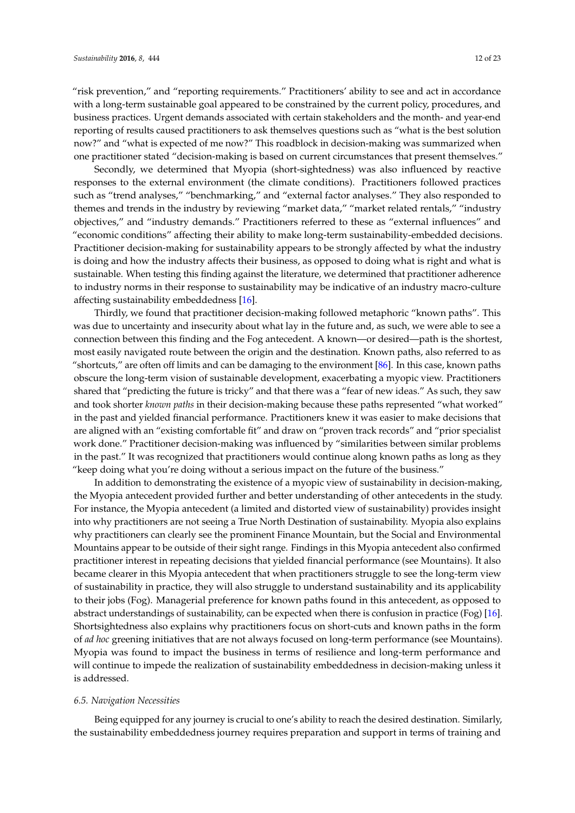"risk prevention," and "reporting requirements." Practitioners' ability to see and act in accordance with a long-term sustainable goal appeared to be constrained by the current policy, procedures, and business practices. Urgent demands associated with certain stakeholders and the month- and year-end reporting of results caused practitioners to ask themselves questions such as "what is the best solution now?" and "what is expected of me now?" This roadblock in decision-making was summarized when one practitioner stated "decision-making is based on current circumstances that present themselves."

Secondly, we determined that Myopia (short-sightedness) was also influenced by reactive responses to the external environment (the climate conditions). Practitioners followed practices such as "trend analyses," "benchmarking," and "external factor analyses." They also responded to themes and trends in the industry by reviewing "market data," "market related rentals," "industry objectives," and "industry demands." Practitioners referred to these as "external influences" and "economic conditions" affecting their ability to make long-term sustainability-embedded decisions. Practitioner decision-making for sustainability appears to be strongly affected by what the industry is doing and how the industry affects their business, as opposed to doing what is right and what is sustainable. When testing this finding against the literature, we determined that practitioner adherence to industry norms in their response to sustainability may be indicative of an industry macro-culture affecting sustainability embeddedness [\[16\]](#page-19-11).

Thirdly, we found that practitioner decision-making followed metaphoric "known paths". This was due to uncertainty and insecurity about what lay in the future and, as such, we were able to see a connection between this finding and the Fog antecedent. A known—or desired—path is the shortest, most easily navigated route between the origin and the destination. Known paths, also referred to as "shortcuts," are often off limits and can be damaging to the environment [\[86\]](#page-21-26). In this case, known paths obscure the long-term vision of sustainable development, exacerbating a myopic view. Practitioners shared that "predicting the future is tricky" and that there was a "fear of new ideas." As such, they saw and took shorter *known paths* in their decision-making because these paths represented "what worked" in the past and yielded financial performance. Practitioners knew it was easier to make decisions that are aligned with an "existing comfortable fit" and draw on "proven track records" and "prior specialist work done." Practitioner decision-making was influenced by "similarities between similar problems in the past." It was recognized that practitioners would continue along known paths as long as they "keep doing what you're doing without a serious impact on the future of the business."

In addition to demonstrating the existence of a myopic view of sustainability in decision-making, the Myopia antecedent provided further and better understanding of other antecedents in the study. For instance, the Myopia antecedent (a limited and distorted view of sustainability) provides insight into why practitioners are not seeing a True North Destination of sustainability. Myopia also explains why practitioners can clearly see the prominent Finance Mountain, but the Social and Environmental Mountains appear to be outside of their sight range. Findings in this Myopia antecedent also confirmed practitioner interest in repeating decisions that yielded financial performance (see Mountains). It also became clearer in this Myopia antecedent that when practitioners struggle to see the long-term view of sustainability in practice, they will also struggle to understand sustainability and its applicability to their jobs (Fog). Managerial preference for known paths found in this antecedent, as opposed to abstract understandings of sustainability, can be expected when there is confusion in practice (Fog) [\[16\]](#page-19-11). Shortsightedness also explains why practitioners focus on short-cuts and known paths in the form of *ad hoc* greening initiatives that are not always focused on long-term performance (see Mountains). Myopia was found to impact the business in terms of resilience and long-term performance and will continue to impede the realization of sustainability embeddedness in decision-making unless it is addressed.

## *6.5. Navigation Necessities*

Being equipped for any journey is crucial to one's ability to reach the desired destination. Similarly, the sustainability embeddedness journey requires preparation and support in terms of training and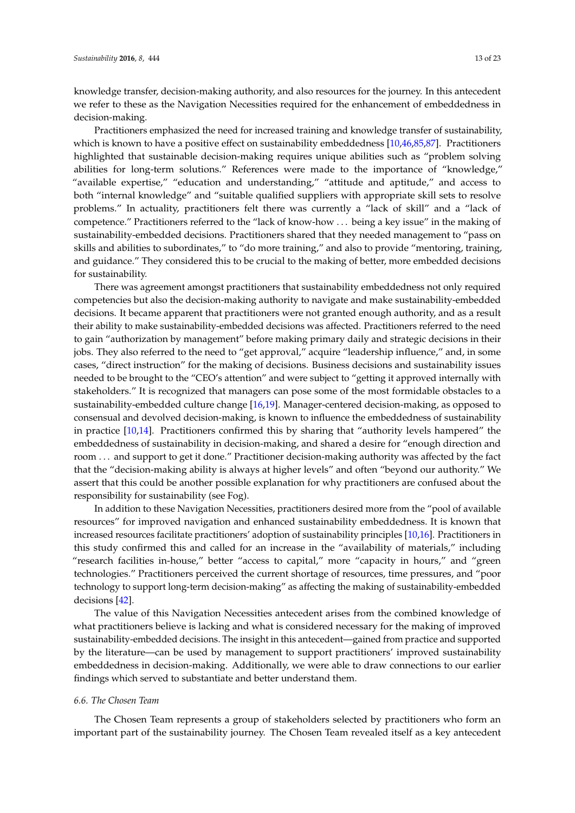knowledge transfer, decision-making authority, and also resources for the journey. In this antecedent we refer to these as the Navigation Necessities required for the enhancement of embeddedness in decision-making.

Practitioners emphasized the need for increased training and knowledge transfer of sustainability, which is known to have a positive effect on sustainability embeddedness [\[10](#page-19-5)[,46,](#page-20-13)[85,](#page-21-25)[87\]](#page-21-27). Practitioners highlighted that sustainable decision-making requires unique abilities such as "problem solving abilities for long-term solutions." References were made to the importance of "knowledge," "available expertise," "education and understanding," "attitude and aptitude," and access to both "internal knowledge" and "suitable qualified suppliers with appropriate skill sets to resolve problems." In actuality, practitioners felt there was currently a "lack of skill" and a "lack of competence." Practitioners referred to the "lack of know-how . . . being a key issue" in the making of sustainability-embedded decisions. Practitioners shared that they needed management to "pass on skills and abilities to subordinates," to "do more training," and also to provide "mentoring, training, and guidance." They considered this to be crucial to the making of better, more embedded decisions for sustainability.

There was agreement amongst practitioners that sustainability embeddedness not only required competencies but also the decision-making authority to navigate and make sustainability-embedded decisions. It became apparent that practitioners were not granted enough authority, and as a result their ability to make sustainability-embedded decisions was affected. Practitioners referred to the need to gain "authorization by management" before making primary daily and strategic decisions in their jobs. They also referred to the need to "get approval," acquire "leadership influence," and, in some cases, "direct instruction" for the making of decisions. Business decisions and sustainability issues needed to be brought to the "CEO's attention" and were subject to "getting it approved internally with stakeholders." It is recognized that managers can pose some of the most formidable obstacles to a sustainability-embedded culture change [\[16,](#page-19-11)[19\]](#page-19-12). Manager-centered decision-making, as opposed to consensual and devolved decision-making, is known to influence the embeddedness of sustainability in practice [\[10](#page-19-5)[,14\]](#page-19-8). Practitioners confirmed this by sharing that "authority levels hampered" the embeddedness of sustainability in decision-making, and shared a desire for "enough direction and room . . . and support to get it done." Practitioner decision-making authority was affected by the fact that the "decision-making ability is always at higher levels" and often "beyond our authority." We assert that this could be another possible explanation for why practitioners are confused about the responsibility for sustainability (see Fog).

In addition to these Navigation Necessities, practitioners desired more from the "pool of available resources" for improved navigation and enhanced sustainability embeddedness. It is known that increased resources facilitate practitioners' adoption of sustainability principles [\[10,](#page-19-5)[16\]](#page-19-11). Practitioners in this study confirmed this and called for an increase in the "availability of materials," including "research facilities in-house," better "access to capital," more "capacity in hours," and "green technologies." Practitioners perceived the current shortage of resources, time pressures, and "poor technology to support long-term decision-making" as affecting the making of sustainability-embedded decisions [\[42\]](#page-20-9).

The value of this Navigation Necessities antecedent arises from the combined knowledge of what practitioners believe is lacking and what is considered necessary for the making of improved sustainability-embedded decisions. The insight in this antecedent—gained from practice and supported by the literature—can be used by management to support practitioners' improved sustainability embeddedness in decision-making. Additionally, we were able to draw connections to our earlier findings which served to substantiate and better understand them.

## *6.6. The Chosen Team*

The Chosen Team represents a group of stakeholders selected by practitioners who form an important part of the sustainability journey. The Chosen Team revealed itself as a key antecedent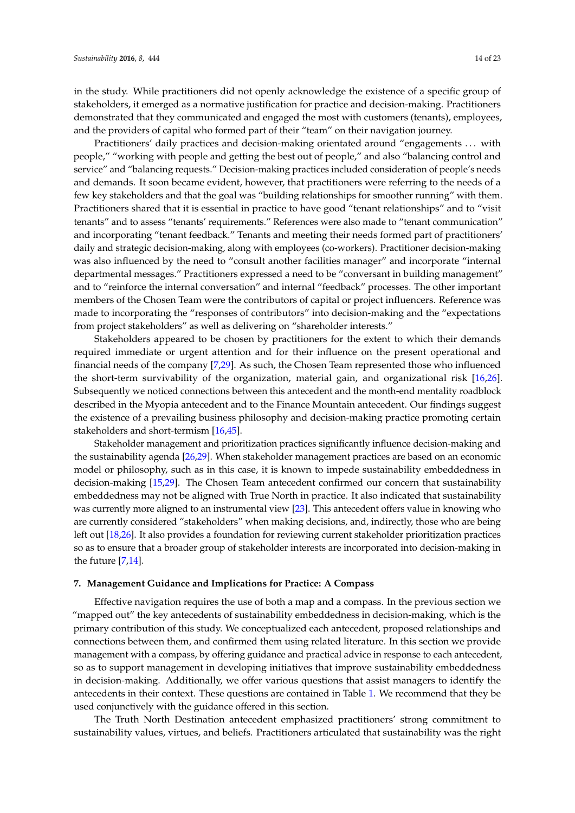in the study. While practitioners did not openly acknowledge the existence of a specific group of stakeholders, it emerged as a normative justification for practice and decision-making. Practitioners demonstrated that they communicated and engaged the most with customers (tenants), employees, and the providers of capital who formed part of their "team" on their navigation journey.

Practitioners' daily practices and decision-making orientated around "engagements . . . with people," "working with people and getting the best out of people," and also "balancing control and service" and "balancing requests." Decision-making practices included consideration of people's needs and demands. It soon became evident, however, that practitioners were referring to the needs of a few key stakeholders and that the goal was "building relationships for smoother running" with them. Practitioners shared that it is essential in practice to have good "tenant relationships" and to "visit tenants" and to assess "tenants' requirements." References were also made to "tenant communication" and incorporating "tenant feedback." Tenants and meeting their needs formed part of practitioners' daily and strategic decision-making, along with employees (co-workers). Practitioner decision-making was also influenced by the need to "consult another facilities manager" and incorporate "internal departmental messages." Practitioners expressed a need to be "conversant in building management" and to "reinforce the internal conversation" and internal "feedback" processes. The other important members of the Chosen Team were the contributors of capital or project influencers. Reference was made to incorporating the "responses of contributors" into decision-making and the "expectations from project stakeholders" as well as delivering on "shareholder interests."

Stakeholders appeared to be chosen by practitioners for the extent to which their demands required immediate or urgent attention and for their influence on the present operational and financial needs of the company [\[7](#page-19-2)[,29\]](#page-19-21). As such, the Chosen Team represented those who influenced the short-term survivability of the organization, material gain, and organizational risk [\[16,](#page-19-11)[26\]](#page-19-19). Subsequently we noticed connections between this antecedent and the month-end mentality roadblock described in the Myopia antecedent and to the Finance Mountain antecedent. Our findings suggest the existence of a prevailing business philosophy and decision-making practice promoting certain stakeholders and short-termism [\[16,](#page-19-11)[45\]](#page-20-12).

Stakeholder management and prioritization practices significantly influence decision-making and the sustainability agenda [\[26](#page-19-19)[,29\]](#page-19-21). When stakeholder management practices are based on an economic model or philosophy, such as in this case, it is known to impede sustainability embeddedness in decision-making [\[15,](#page-19-9)[29\]](#page-19-21). The Chosen Team antecedent confirmed our concern that sustainability embeddedness may not be aligned with True North in practice. It also indicated that sustainability was currently more aligned to an instrumental view [\[23\]](#page-19-16). This antecedent offers value in knowing who are currently considered "stakeholders" when making decisions, and, indirectly, those who are being left out [\[18,](#page-19-10)[26\]](#page-19-19). It also provides a foundation for reviewing current stakeholder prioritization practices so as to ensure that a broader group of stakeholder interests are incorporated into decision-making in the future [\[7,](#page-19-2)[14\]](#page-19-8).

# **7. Management Guidance and Implications for Practice: A Compass**

Effective navigation requires the use of both a map and a compass. In the previous section we "mapped out" the key antecedents of sustainability embeddedness in decision-making, which is the primary contribution of this study. We conceptualized each antecedent, proposed relationships and connections between them, and confirmed them using related literature. In this section we provide management with a compass, by offering guidance and practical advice in response to each antecedent, so as to support management in developing initiatives that improve sustainability embeddedness in decision-making. Additionally, we offer various questions that assist managers to identify the antecedents in their context. These questions are contained in Table [1.](#page-6-0) We recommend that they be used conjunctively with the guidance offered in this section.

The Truth North Destination antecedent emphasized practitioners' strong commitment to sustainability values, virtues, and beliefs. Practitioners articulated that sustainability was the right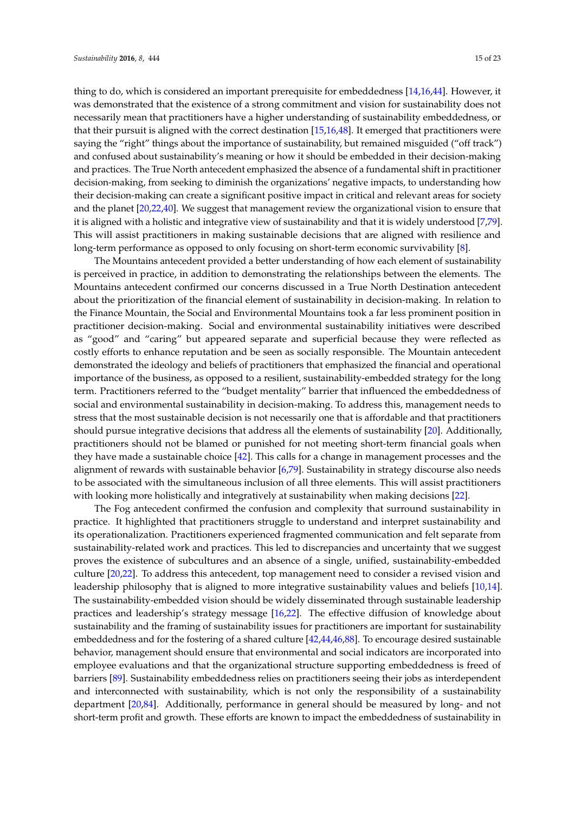thing to do, which is considered an important prerequisite for embeddedness [\[14,](#page-19-8)[16,](#page-19-11)[44\]](#page-20-11). However, it was demonstrated that the existence of a strong commitment and vision for sustainability does not necessarily mean that practitioners have a higher understanding of sustainability embeddedness, or that their pursuit is aligned with the correct destination [\[15,](#page-19-9)[16](#page-19-11)[,48\]](#page-20-15). It emerged that practitioners were saying the "right" things about the importance of sustainability, but remained misguided ("off track") and confused about sustainability's meaning or how it should be embedded in their decision-making and practices. The True North antecedent emphasized the absence of a fundamental shift in practitioner decision-making, from seeking to diminish the organizations' negative impacts, to understanding how their decision-making can create a significant positive impact in critical and relevant areas for society and the planet [\[20](#page-19-13)[,22](#page-19-15)[,40\]](#page-20-7). We suggest that management review the organizational vision to ensure that it is aligned with a holistic and integrative view of sustainability and that it is widely understood [\[7](#page-19-2)[,79\]](#page-21-19). This will assist practitioners in making sustainable decisions that are aligned with resilience and long-term performance as opposed to only focusing on short-term economic survivability [\[8\]](#page-19-4).

The Mountains antecedent provided a better understanding of how each element of sustainability is perceived in practice, in addition to demonstrating the relationships between the elements. The Mountains antecedent confirmed our concerns discussed in a True North Destination antecedent about the prioritization of the financial element of sustainability in decision-making. In relation to the Finance Mountain, the Social and Environmental Mountains took a far less prominent position in practitioner decision-making. Social and environmental sustainability initiatives were described as "good" and "caring" but appeared separate and superficial because they were reflected as costly efforts to enhance reputation and be seen as socially responsible. The Mountain antecedent demonstrated the ideology and beliefs of practitioners that emphasized the financial and operational importance of the business, as opposed to a resilient, sustainability-embedded strategy for the long term. Practitioners referred to the "budget mentality" barrier that influenced the embeddedness of social and environmental sustainability in decision-making. To address this, management needs to stress that the most sustainable decision is not necessarily one that is affordable and that practitioners should pursue integrative decisions that address all the elements of sustainability [\[20\]](#page-19-13). Additionally, practitioners should not be blamed or punished for not meeting short-term financial goals when they have made a sustainable choice [\[42\]](#page-20-9). This calls for a change in management processes and the alignment of rewards with sustainable behavior [\[6,](#page-19-1)[79\]](#page-21-19). Sustainability in strategy discourse also needs to be associated with the simultaneous inclusion of all three elements. This will assist practitioners with looking more holistically and integratively at sustainability when making decisions [\[22\]](#page-19-15).

The Fog antecedent confirmed the confusion and complexity that surround sustainability in practice. It highlighted that practitioners struggle to understand and interpret sustainability and its operationalization. Practitioners experienced fragmented communication and felt separate from sustainability-related work and practices. This led to discrepancies and uncertainty that we suggest proves the existence of subcultures and an absence of a single, unified, sustainability-embedded culture [\[20](#page-19-13)[,22\]](#page-19-15). To address this antecedent, top management need to consider a revised vision and leadership philosophy that is aligned to more integrative sustainability values and beliefs [\[10,](#page-19-5)[14\]](#page-19-8). The sustainability-embedded vision should be widely disseminated through sustainable leadership practices and leadership's strategy message [\[16,](#page-19-11)[22\]](#page-19-15). The effective diffusion of knowledge about sustainability and the framing of sustainability issues for practitioners are important for sustainability embeddedness and for the fostering of a shared culture [\[42](#page-20-9)[,44](#page-20-11)[,46,](#page-20-13)[88\]](#page-21-28). To encourage desired sustainable behavior, management should ensure that environmental and social indicators are incorporated into employee evaluations and that the organizational structure supporting embeddedness is freed of barriers [\[89\]](#page-22-0). Sustainability embeddedness relies on practitioners seeing their jobs as interdependent and interconnected with sustainability, which is not only the responsibility of a sustainability department [\[20,](#page-19-13)[84\]](#page-21-24). Additionally, performance in general should be measured by long- and not short-term profit and growth. These efforts are known to impact the embeddedness of sustainability in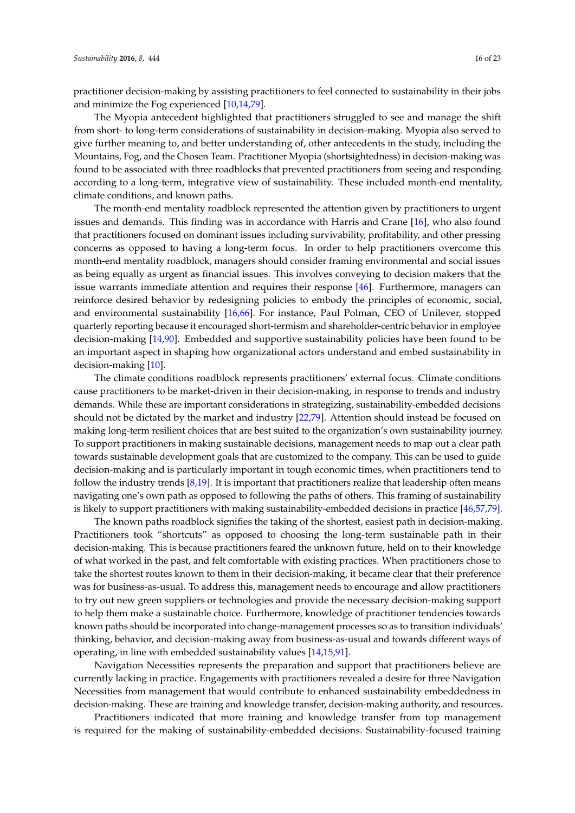practitioner decision-making by assisting practitioners to feel connected to sustainability in their jobs and minimize the Fog experienced [\[10,](#page-19-5)[14,](#page-19-8)[79\]](#page-21-19).

The Myopia antecedent highlighted that practitioners struggled to see and manage the shift from short- to long-term considerations of sustainability in decision-making. Myopia also served to give further meaning to, and better understanding of, other antecedents in the study, including the Mountains, Fog, and the Chosen Team. Practitioner Myopia (shortsightedness) in decision-making was found to be associated with three roadblocks that prevented practitioners from seeing and responding according to a long-term, integrative view of sustainability. These included month-end mentality, climate conditions, and known paths.

The month-end mentality roadblock represented the attention given by practitioners to urgent issues and demands. This finding was in accordance with Harris and Crane [\[16\]](#page-19-11), who also found that practitioners focused on dominant issues including survivability, profitability, and other pressing concerns as opposed to having a long-term focus. In order to help practitioners overcome this month-end mentality roadblock, managers should consider framing environmental and social issues as being equally as urgent as financial issues. This involves conveying to decision makers that the issue warrants immediate attention and requires their response [\[46\]](#page-20-13). Furthermore, managers can reinforce desired behavior by redesigning policies to embody the principles of economic, social, and environmental sustainability [\[16,](#page-19-11)[66\]](#page-21-29). For instance, Paul Polman, CEO of Unilever, stopped quarterly reporting because it encouraged short-termism and shareholder-centric behavior in employee decision-making [\[14](#page-19-8)[,90\]](#page-22-1). Embedded and supportive sustainability policies have been found to be an important aspect in shaping how organizational actors understand and embed sustainability in decision-making [\[10\]](#page-19-5).

The climate conditions roadblock represents practitioners' external focus. Climate conditions cause practitioners to be market-driven in their decision-making, in response to trends and industry demands. While these are important considerations in strategizing, sustainability-embedded decisions should not be dictated by the market and industry [\[22,](#page-19-15)[79\]](#page-21-19). Attention should instead be focused on making long-term resilient choices that are best suited to the organization's own sustainability journey. To support practitioners in making sustainable decisions, management needs to map out a clear path towards sustainable development goals that are customized to the company. This can be used to guide decision-making and is particularly important in tough economic times, when practitioners tend to follow the industry trends  $[8,19]$  $[8,19]$ . It is important that practitioners realize that leadership often means navigating one's own path as opposed to following the paths of others. This framing of sustainability is likely to support practitioners with making sustainability-embedded decisions in practice [\[46](#page-20-13)[,57](#page-20-23)[,79\]](#page-21-19).

The known paths roadblock signifies the taking of the shortest, easiest path in decision-making. Practitioners took "shortcuts" as opposed to choosing the long-term sustainable path in their decision-making. This is because practitioners feared the unknown future, held on to their knowledge of what worked in the past, and felt comfortable with existing practices. When practitioners chose to take the shortest routes known to them in their decision-making, it became clear that their preference was for business-as-usual. To address this, management needs to encourage and allow practitioners to try out new green suppliers or technologies and provide the necessary decision-making support to help them make a sustainable choice. Furthermore, knowledge of practitioner tendencies towards known paths should be incorporated into change-management processes so as to transition individuals' thinking, behavior, and decision-making away from business-as-usual and towards different ways of operating, in line with embedded sustainability values [\[14](#page-19-8)[,15](#page-19-9)[,91\]](#page-22-2).

Navigation Necessities represents the preparation and support that practitioners believe are currently lacking in practice. Engagements with practitioners revealed a desire for three Navigation Necessities from management that would contribute to enhanced sustainability embeddedness in decision-making. These are training and knowledge transfer, decision-making authority, and resources.

Practitioners indicated that more training and knowledge transfer from top management is required for the making of sustainability-embedded decisions. Sustainability-focused training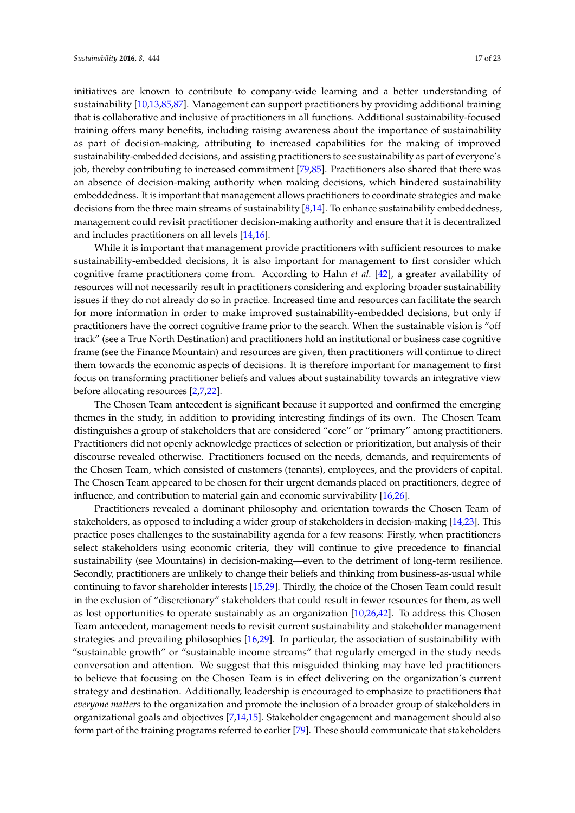initiatives are known to contribute to company-wide learning and a better understanding of sustainability [\[10](#page-19-5)[,13](#page-19-25)[,85](#page-21-25)[,87\]](#page-21-27). Management can support practitioners by providing additional training that is collaborative and inclusive of practitioners in all functions. Additional sustainability-focused training offers many benefits, including raising awareness about the importance of sustainability as part of decision-making, attributing to increased capabilities for the making of improved sustainability-embedded decisions, and assisting practitioners to see sustainability as part of everyone's job, thereby contributing to increased commitment [\[79](#page-21-19)[,85\]](#page-21-25). Practitioners also shared that there was an absence of decision-making authority when making decisions, which hindered sustainability

embeddedness. It is important that management allows practitioners to coordinate strategies and make decisions from the three main streams of sustainability [\[8](#page-19-4)[,14\]](#page-19-8). To enhance sustainability embeddedness, management could revisit practitioner decision-making authority and ensure that it is decentralized and includes practitioners on all levels [\[14,](#page-19-8)[16\]](#page-19-11).

While it is important that management provide practitioners with sufficient resources to make sustainability-embedded decisions, it is also important for management to first consider which cognitive frame practitioners come from. According to Hahn *et al.* [\[42\]](#page-20-9), a greater availability of resources will not necessarily result in practitioners considering and exploring broader sustainability issues if they do not already do so in practice. Increased time and resources can facilitate the search for more information in order to make improved sustainability-embedded decisions, but only if practitioners have the correct cognitive frame prior to the search. When the sustainable vision is "off track" (see a True North Destination) and practitioners hold an institutional or business case cognitive frame (see the Finance Mountain) and resources are given, then practitioners will continue to direct them towards the economic aspects of decisions. It is therefore important for management to first focus on transforming practitioner beliefs and values about sustainability towards an integrative view before allocating resources [\[2](#page-18-1)[,7](#page-19-2)[,22\]](#page-19-15).

The Chosen Team antecedent is significant because it supported and confirmed the emerging themes in the study, in addition to providing interesting findings of its own. The Chosen Team distinguishes a group of stakeholders that are considered "core" or "primary" among practitioners. Practitioners did not openly acknowledge practices of selection or prioritization, but analysis of their discourse revealed otherwise. Practitioners focused on the needs, demands, and requirements of the Chosen Team, which consisted of customers (tenants), employees, and the providers of capital. The Chosen Team appeared to be chosen for their urgent demands placed on practitioners, degree of influence, and contribution to material gain and economic survivability [\[16](#page-19-11)[,26\]](#page-19-19).

Practitioners revealed a dominant philosophy and orientation towards the Chosen Team of stakeholders, as opposed to including a wider group of stakeholders in decision-making [\[14,](#page-19-8)[23\]](#page-19-16). This practice poses challenges to the sustainability agenda for a few reasons: Firstly, when practitioners select stakeholders using economic criteria, they will continue to give precedence to financial sustainability (see Mountains) in decision-making—even to the detriment of long-term resilience. Secondly, practitioners are unlikely to change their beliefs and thinking from business-as-usual while continuing to favor shareholder interests [\[15](#page-19-9)[,29\]](#page-19-21). Thirdly, the choice of the Chosen Team could result in the exclusion of "discretionary" stakeholders that could result in fewer resources for them, as well as lost opportunities to operate sustainably as an organization [\[10](#page-19-5)[,26](#page-19-19)[,42\]](#page-20-9). To address this Chosen Team antecedent, management needs to revisit current sustainability and stakeholder management strategies and prevailing philosophies [\[16](#page-19-11)[,29\]](#page-19-21). In particular, the association of sustainability with "sustainable growth" or "sustainable income streams" that regularly emerged in the study needs conversation and attention. We suggest that this misguided thinking may have led practitioners to believe that focusing on the Chosen Team is in effect delivering on the organization's current strategy and destination. Additionally, leadership is encouraged to emphasize to practitioners that *everyone matters* to the organization and promote the inclusion of a broader group of stakeholders in organizational goals and objectives [\[7](#page-19-2)[,14](#page-19-8)[,15\]](#page-19-9). Stakeholder engagement and management should also form part of the training programs referred to earlier [\[79\]](#page-21-19). These should communicate that stakeholders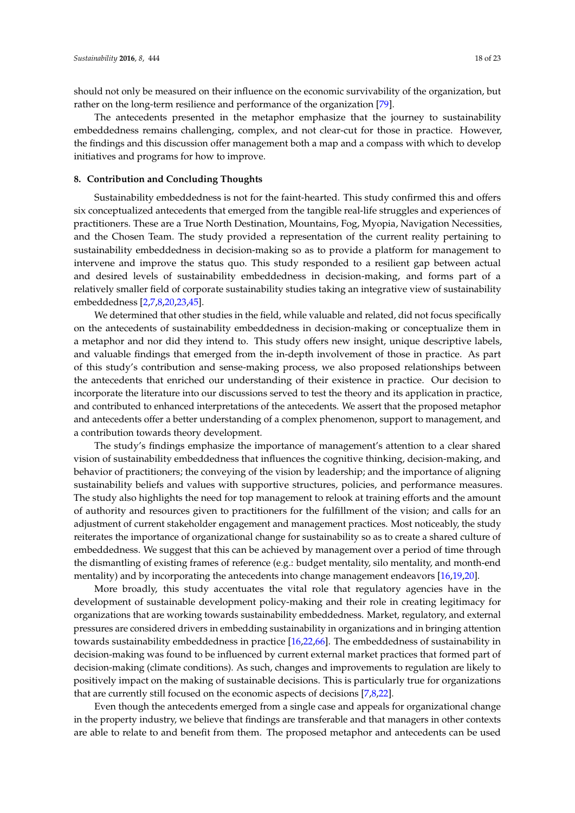should not only be measured on their influence on the economic survivability of the organization, but rather on the long-term resilience and performance of the organization [\[79\]](#page-21-19).

The antecedents presented in the metaphor emphasize that the journey to sustainability embeddedness remains challenging, complex, and not clear-cut for those in practice. However, the findings and this discussion offer management both a map and a compass with which to develop initiatives and programs for how to improve.

## **8. Contribution and Concluding Thoughts**

Sustainability embeddedness is not for the faint-hearted. This study confirmed this and offers six conceptualized antecedents that emerged from the tangible real-life struggles and experiences of practitioners. These are a True North Destination, Mountains, Fog, Myopia, Navigation Necessities, and the Chosen Team. The study provided a representation of the current reality pertaining to sustainability embeddedness in decision-making so as to provide a platform for management to intervene and improve the status quo. This study responded to a resilient gap between actual and desired levels of sustainability embeddedness in decision-making, and forms part of a relatively smaller field of corporate sustainability studies taking an integrative view of sustainability embeddedness [\[2,](#page-18-1)[7,](#page-19-2)[8,](#page-19-4)[20,](#page-19-13)[23,](#page-19-16)[45\]](#page-20-12).

We determined that other studies in the field, while valuable and related, did not focus specifically on the antecedents of sustainability embeddedness in decision-making or conceptualize them in a metaphor and nor did they intend to. This study offers new insight, unique descriptive labels, and valuable findings that emerged from the in-depth involvement of those in practice. As part of this study's contribution and sense-making process, we also proposed relationships between the antecedents that enriched our understanding of their existence in practice. Our decision to incorporate the literature into our discussions served to test the theory and its application in practice, and contributed to enhanced interpretations of the antecedents. We assert that the proposed metaphor and antecedents offer a better understanding of a complex phenomenon, support to management, and a contribution towards theory development.

The study's findings emphasize the importance of management's attention to a clear shared vision of sustainability embeddedness that influences the cognitive thinking, decision-making, and behavior of practitioners; the conveying of the vision by leadership; and the importance of aligning sustainability beliefs and values with supportive structures, policies, and performance measures. The study also highlights the need for top management to relook at training efforts and the amount of authority and resources given to practitioners for the fulfillment of the vision; and calls for an adjustment of current stakeholder engagement and management practices. Most noticeably, the study reiterates the importance of organizational change for sustainability so as to create a shared culture of embeddedness. We suggest that this can be achieved by management over a period of time through the dismantling of existing frames of reference (e.g.: budget mentality, silo mentality, and month-end mentality) and by incorporating the antecedents into change management endeavors [\[16,](#page-19-11)[19,](#page-19-12)[20\]](#page-19-13).

More broadly, this study accentuates the vital role that regulatory agencies have in the development of sustainable development policy-making and their role in creating legitimacy for organizations that are working towards sustainability embeddedness. Market, regulatory, and external pressures are considered drivers in embedding sustainability in organizations and in bringing attention towards sustainability embeddedness in practice [\[16,](#page-19-11)[22,](#page-19-15)[66\]](#page-21-29). The embeddedness of sustainability in decision-making was found to be influenced by current external market practices that formed part of decision-making (climate conditions). As such, changes and improvements to regulation are likely to positively impact on the making of sustainable decisions. This is particularly true for organizations that are currently still focused on the economic aspects of decisions [\[7](#page-19-2)[,8,](#page-19-4)[22\]](#page-19-15).

Even though the antecedents emerged from a single case and appeals for organizational change in the property industry, we believe that findings are transferable and that managers in other contexts are able to relate to and benefit from them. The proposed metaphor and antecedents can be used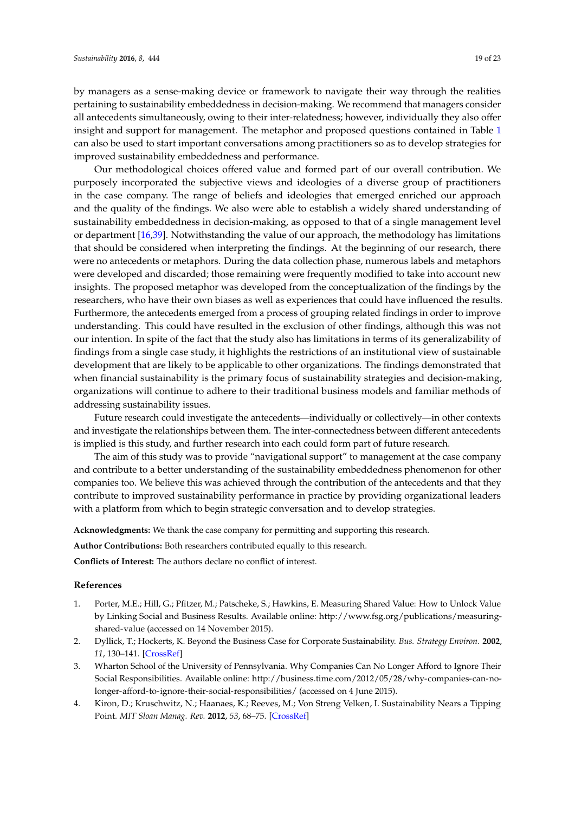by managers as a sense-making device or framework to navigate their way through the realities pertaining to sustainability embeddedness in decision-making. We recommend that managers consider all antecedents simultaneously, owing to their inter-relatedness; however, individually they also offer insight and support for management. The metaphor and proposed questions contained in Table [1](#page-6-0) can also be used to start important conversations among practitioners so as to develop strategies for improved sustainability embeddedness and performance.

Our methodological choices offered value and formed part of our overall contribution. We purposely incorporated the subjective views and ideologies of a diverse group of practitioners in the case company. The range of beliefs and ideologies that emerged enriched our approach and the quality of the findings. We also were able to establish a widely shared understanding of sustainability embeddedness in decision-making, as opposed to that of a single management level or department [\[16](#page-19-11)[,39\]](#page-20-6). Notwithstanding the value of our approach, the methodology has limitations that should be considered when interpreting the findings. At the beginning of our research, there were no antecedents or metaphors. During the data collection phase, numerous labels and metaphors were developed and discarded; those remaining were frequently modified to take into account new insights. The proposed metaphor was developed from the conceptualization of the findings by the researchers, who have their own biases as well as experiences that could have influenced the results. Furthermore, the antecedents emerged from a process of grouping related findings in order to improve understanding. This could have resulted in the exclusion of other findings, although this was not our intention. In spite of the fact that the study also has limitations in terms of its generalizability of findings from a single case study, it highlights the restrictions of an institutional view of sustainable development that are likely to be applicable to other organizations. The findings demonstrated that when financial sustainability is the primary focus of sustainability strategies and decision-making, organizations will continue to adhere to their traditional business models and familiar methods of addressing sustainability issues.

Future research could investigate the antecedents—individually or collectively—in other contexts and investigate the relationships between them. The inter-connectedness between different antecedents is implied is this study, and further research into each could form part of future research.

The aim of this study was to provide "navigational support" to management at the case company and contribute to a better understanding of the sustainability embeddedness phenomenon for other companies too. We believe this was achieved through the contribution of the antecedents and that they contribute to improved sustainability performance in practice by providing organizational leaders with a platform from which to begin strategic conversation and to develop strategies.

**Acknowledgments:** We thank the case company for permitting and supporting this research.

**Author Contributions:** Both researchers contributed equally to this research.

**Conflicts of Interest:** The authors declare no conflict of interest.

### **References**

- <span id="page-18-0"></span>1. Porter, M.E.; Hill, G.; Pfitzer, M.; Patscheke, S.; Hawkins, E. Measuring Shared Value: How to Unlock Value by Linking Social and Business Results. Available online: [http://www.fsg.org/publications/measuring](http://www.fsg.org/publications/measuring-shared-value)[shared-value](http://www.fsg.org/publications/measuring-shared-value) (accessed on 14 November 2015).
- <span id="page-18-1"></span>2. Dyllick, T.; Hockerts, K. Beyond the Business Case for Corporate Sustainability. *Bus. Strategy Environ.* **2002**, *11*, 130–141. [\[CrossRef\]](http://dx.doi.org/10.1002/bse.323)
- <span id="page-18-2"></span>3. Wharton School of the University of Pennsylvania. Why Companies Can No Longer Afford to Ignore Their Social Responsibilities. Available online: [http://business.time.com/2012/05/28/why-companies-can-no](http://business.time.com/2012/05/28/why-companies-can-no-longer-afford-to-ignore-their-social-responsibilities/)[longer-afford-to-ignore-their-social-responsibilities/](http://business.time.com/2012/05/28/why-companies-can-no-longer-afford-to-ignore-their-social-responsibilities/) (accessed on 4 June 2015).
- <span id="page-18-3"></span>4. Kiron, D.; Kruschwitz, N.; Haanaes, K.; Reeves, M.; Von Streng Velken, I. Sustainability Nears a Tipping Point. *MIT Sloan Manag. Rev.* **2012**, *53*, 68–75. [\[CrossRef\]](http://dx.doi.org/10.1108/sd.2012.05628gaa.012)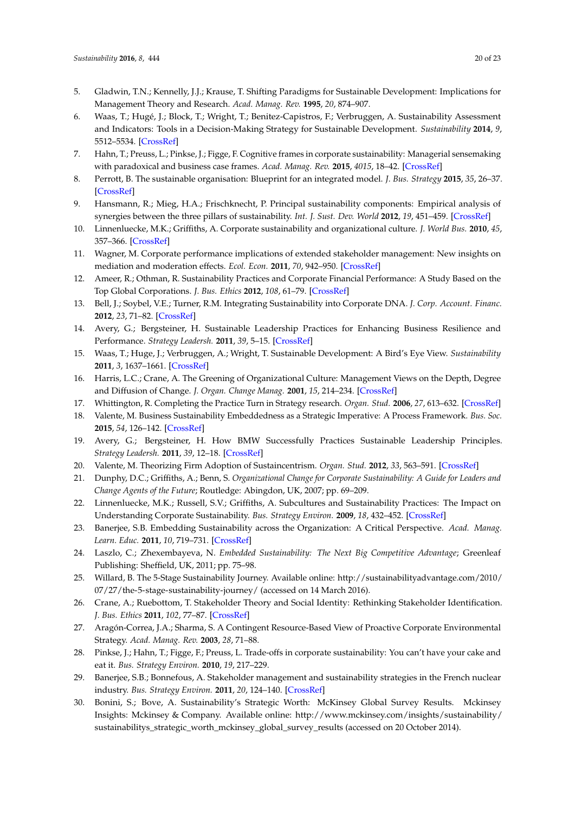- <span id="page-19-0"></span>5. Gladwin, T.N.; Kennelly, J.J.; Krause, T. Shifting Paradigms for Sustainable Development: Implications for Management Theory and Research. *Acad. Manag. Rev.* **1995**, *20*, 874–907.
- <span id="page-19-1"></span>6. Waas, T.; Hugé, J.; Block, T.; Wright, T.; Benitez-Capistros, F.; Verbruggen, A. Sustainability Assessment and Indicators: Tools in a Decision-Making Strategy for Sustainable Development. *Sustainability* **2014**, *9*, 5512–5534. [\[CrossRef\]](http://dx.doi.org/10.3390/su6095512)
- <span id="page-19-2"></span>7. Hahn, T.; Preuss, L.; Pinkse, J.; Figge, F. Cognitive frames in corporate sustainability: Managerial sensemaking with paradoxical and business case frames. *Acad. Manag. Rev.* **2015**, *4015*, 18–42. [\[CrossRef\]](http://dx.doi.org/10.5465/amr.2012.0341)
- <span id="page-19-4"></span>8. Perrott, B. The sustainable organisation: Blueprint for an integrated model. *J. Bus. Strategy* **2015**, *35*, 26–37. [\[CrossRef\]](http://dx.doi.org/10.1108/JBS-07-2013-0061)
- <span id="page-19-3"></span>9. Hansmann, R.; Mieg, H.A.; Frischknecht, P. Principal sustainability components: Empirical analysis of synergies between the three pillars of sustainability. *Int. J. Sust. Dev. World* **2012**, *19*, 451–459. [\[CrossRef\]](http://dx.doi.org/10.1080/13504509.2012.696220)
- <span id="page-19-5"></span>10. Linnenluecke, M.K.; Griffiths, A. Corporate sustainability and organizational culture. *J. World Bus.* **2010**, *45*, 357–366. [\[CrossRef\]](http://dx.doi.org/10.1016/j.jwb.2009.08.006)
- <span id="page-19-6"></span>11. Wagner, M. Corporate performance implications of extended stakeholder management: New insights on mediation and moderation effects. *Ecol. Econ.* **2011**, *70*, 942–950. [\[CrossRef\]](http://dx.doi.org/10.1016/j.ecolecon.2010.12.010)
- <span id="page-19-7"></span>12. Ameer, R.; Othman, R. Sustainability Practices and Corporate Financial Performance: A Study Based on the Top Global Corporations. *J. Bus. Ethics* **2012**, *108*, 61–79. [\[CrossRef\]](http://dx.doi.org/10.1007/s10551-011-1063-y)
- <span id="page-19-25"></span>13. Bell, J.; Soybel, V.E.; Turner, R.M. Integrating Sustainability into Corporate DNA. *J. Corp. Account. Financ.* **2012**, *23*, 71–82. [\[CrossRef\]](http://dx.doi.org/10.1002/jcaf.21755)
- <span id="page-19-8"></span>14. Avery, G.; Bergsteiner, H. Sustainable Leadership Practices for Enhancing Business Resilience and Performance. *Strategy Leadersh.* **2011**, *39*, 5–15. [\[CrossRef\]](http://dx.doi.org/10.1108/10878571111128766)
- <span id="page-19-9"></span>15. Waas, T.; Huge, J.; Verbruggen, A.; Wright, T. Sustainable Development: A Bird's Eye View. *Sustainability* **2011**, *3*, 1637–1661. [\[CrossRef\]](http://dx.doi.org/10.3390/su3101637)
- <span id="page-19-11"></span>16. Harris, L.C.; Crane, A. The Greening of Organizational Culture: Management Views on the Depth, Degree and Diffusion of Change. *J. Organ. Change Manag.* **2001**, *15*, 214–234. [\[CrossRef\]](http://dx.doi.org/10.1108/09534810210429273)
- <span id="page-19-23"></span>17. Whittington, R. Completing the Practice Turn in Strategy research. *Organ. Stud.* **2006**, *27*, 613–632. [\[CrossRef\]](http://dx.doi.org/10.1177/0170840606064101)
- <span id="page-19-10"></span>18. Valente, M. Business Sustainability Embeddedness as a Strategic Imperative: A Process Framework. *Bus. Soc.* **2015**, *54*, 126–142. [\[CrossRef\]](http://dx.doi.org/10.1177/0007650312443199)
- <span id="page-19-12"></span>19. Avery, G.; Bergsteiner, H. How BMW Successfully Practices Sustainable Leadership Principles. *Strategy Leadersh.* **2011**, *39*, 12–18. [\[CrossRef\]](http://dx.doi.org/10.1108/10878571111176583)
- <span id="page-19-13"></span>20. Valente, M. Theorizing Firm Adoption of Sustaincentrism. *Organ. Stud.* **2012**, *33*, 563–591. [\[CrossRef\]](http://dx.doi.org/10.1177/0170840612443455)
- <span id="page-19-14"></span>21. Dunphy, D.C.; Griffiths, A.; Benn, S. *Organizational Change for Corporate Sustainability: A Guide for Leaders and Change Agents of the Future*; Routledge: Abingdon, UK, 2007; pp. 69–209.
- <span id="page-19-15"></span>22. Linnenluecke, M.K.; Russell, S.V.; Griffiths, A. Subcultures and Sustainability Practices: The Impact on Understanding Corporate Sustainability. *Bus. Strategy Environ.* **2009**, *18*, 432–452. [\[CrossRef\]](http://dx.doi.org/10.1002/bse.609)
- <span id="page-19-16"></span>23. Banerjee, S.B. Embedding Sustainability across the Organization: A Critical Perspective. *Acad. Manag. Learn. Educ.* **2011**, *10*, 719–731. [\[CrossRef\]](http://dx.doi.org/10.5465/amle.2010.0005)
- <span id="page-19-17"></span>24. Laszlo, C.; Zhexembayeva, N. *Embedded Sustainability: The Next Big Competitive Advantage*; Greenleaf Publishing: Sheffield, UK, 2011; pp. 75–98.
- <span id="page-19-18"></span>25. Willard, B. The 5-Stage Sustainability Journey. Available online: [http://sustainabilityadvantage.com/2010/](http://sustainabilityadvantage.com/2010/07/27/the-5-stage-sustainability-journey/) [07/27/the-5-stage-sustainability-journey/](http://sustainabilityadvantage.com/2010/07/27/the-5-stage-sustainability-journey/) (accessed on 14 March 2016).
- <span id="page-19-19"></span>26. Crane, A.; Ruebottom, T. Stakeholder Theory and Social Identity: Rethinking Stakeholder Identification. *J. Bus. Ethics* **2011**, *102*, 77–87. [\[CrossRef\]](http://dx.doi.org/10.1007/s10551-011-1191-4)
- <span id="page-19-20"></span>27. Aragón-Correa, J.A.; Sharma, S. A Contingent Resource-Based View of Proactive Corporate Environmental Strategy. *Acad. Manag. Rev.* **2003**, *28*, 71–88.
- <span id="page-19-24"></span>28. Pinkse, J.; Hahn, T.; Figge, F.; Preuss, L. Trade-offs in corporate sustainability: You can't have your cake and eat it. *Bus. Strategy Environ.* **2010**, *19*, 217–229.
- <span id="page-19-21"></span>29. Banerjee, S.B.; Bonnefous, A. Stakeholder management and sustainability strategies in the French nuclear industry. *Bus. Strategy Environ.* **2011**, *20*, 124–140. [\[CrossRef\]](http://dx.doi.org/10.1002/bse.681)
- <span id="page-19-22"></span>30. Bonini, S.; Bove, A. Sustainability's Strategic Worth: McKinsey Global Survey Results. Mckinsey Insights: Mckinsey & Company. Available online: [http://www.mckinsey.com/insights/sustainability/](http://www.mckinsey.com/insights/sustainability/sustainabilitys_strategic_worth_mckinsey_global_survey_results) [sustainabilitys\\_strategic\\_worth\\_mckinsey\\_global\\_survey\\_results](http://www.mckinsey.com/insights/sustainability/sustainabilitys_strategic_worth_mckinsey_global_survey_results) (accessed on 20 October 2014).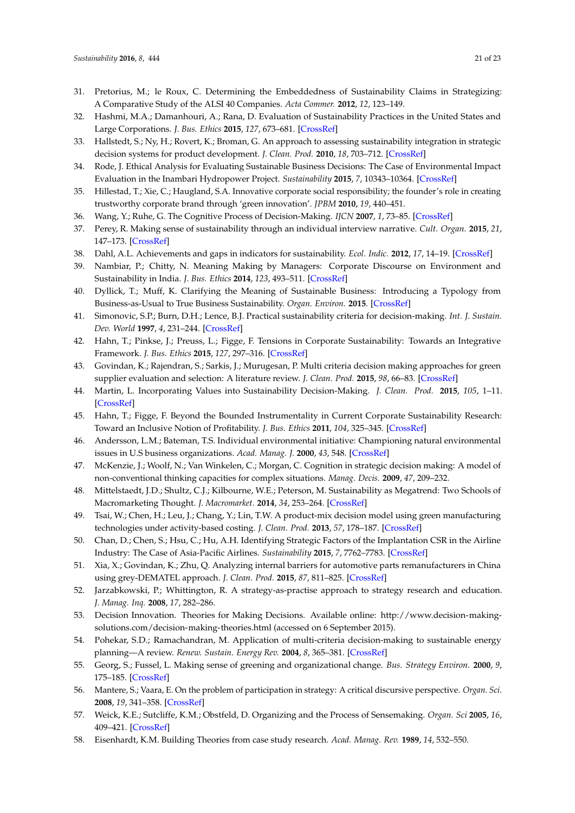- <span id="page-20-0"></span>31. Pretorius, M.; le Roux, C. Determining the Embeddedness of Sustainability Claims in Strategizing: A Comparative Study of the ALSI 40 Companies. *Acta Commer.* **2012**, *12*, 123–149.
- <span id="page-20-1"></span>32. Hashmi, M.A.; Damanhouri, A.; Rana, D. Evaluation of Sustainability Practices in the United States and Large Corporations. *J. Bus. Ethics* **2015**, *127*, 673–681. [\[CrossRef\]](http://dx.doi.org/10.1007/s10551-014-2056-4)
- <span id="page-20-21"></span>33. Hallstedt, S.; Ny, H.; Rovert, K.; Broman, G. An approach to assessing sustainability integration in strategic decision systems for product development. *J. Clean. Prod.* **2010**, *18*, 703–712. [\[CrossRef\]](http://dx.doi.org/10.1016/j.jclepro.2009.12.017)
- 34. Rode, J. Ethical Analysis for Evaluating Sustainable Business Decisions: The Case of Environmental Impact Evaluation in the Inambari Hydropower Project. *Sustainability* **2015**, *7*, 10343–10364. [\[CrossRef\]](http://dx.doi.org/10.3390/su70810343)
- <span id="page-20-2"></span>35. Hillestad, T.; Xie, C.; Haugland, S.A. Innovative corporate social responsibility; the founder's role in creating trustworthy corporate brand through 'green innovation'. *JPBM* **2010**, *19*, 440–451.
- <span id="page-20-3"></span>36. Wang, Y.; Ruhe, G. The Cognitive Process of Decision-Making. *IJCN* **2007**, *1*, 73–85. [\[CrossRef\]](http://dx.doi.org/10.4018/jcini.2007040105)
- <span id="page-20-4"></span>37. Perey, R. Making sense of sustainability through an individual interview narrative. *Cult. Organ.* **2015**, *21*, 147–173. [\[CrossRef\]](http://dx.doi.org/10.1080/14759551.2013.819354)
- <span id="page-20-5"></span>38. Dahl, A.L. Achievements and gaps in indicators for sustainability. *Ecol. Indic.* **2012**, *17*, 14–19. [\[CrossRef\]](http://dx.doi.org/10.1016/j.ecolind.2011.04.032)
- <span id="page-20-6"></span>39. Nambiar, P.; Chitty, N. Meaning Making by Managers: Corporate Discourse on Environment and Sustainability in India. *J. Bus. Ethics* **2014**, *123*, 493–511. [\[CrossRef\]](http://dx.doi.org/10.1007/s10551-013-1848-2)
- <span id="page-20-7"></span>40. Dyllick, T.; Muff, K. Clarifying the Meaning of Sustainable Business: Introducing a Typology from Business-as-Usual to True Business Sustainability. *Organ. Environ.* **2015**. [\[CrossRef\]](http://dx.doi.org/10.1177/1086026615575176)
- <span id="page-20-8"></span>41. Simonovic, S.P.; Burn, D.H.; Lence, B.J. Practical sustainability criteria for decision-making. *Int. J. Sustain. Dev. World* **1997**, *4*, 231–244. [\[CrossRef\]](http://dx.doi.org/10.1080/13504509709469959)
- <span id="page-20-9"></span>42. Hahn, T.; Pinkse, J.; Preuss, L.; Figge, F. Tensions in Corporate Sustainability: Towards an Integrative Framework. *J. Bus. Ethics* **2015**, *127*, 297–316. [\[CrossRef\]](http://dx.doi.org/10.1007/s10551-014-2047-5)
- <span id="page-20-10"></span>43. Govindan, K.; Rajendran, S.; Sarkis, J.; Murugesan, P. Multi criteria decision making approaches for green supplier evaluation and selection: A literature review. *J. Clean. Prod.* **2015**, *98*, 66–83. [\[CrossRef\]](http://dx.doi.org/10.1016/j.jclepro.2013.06.046)
- <span id="page-20-11"></span>44. Martin, L. Incorporating Values into Sustainability Decision-Making. *J. Clean. Prod.* **2015**, *105*, 1–11. [\[CrossRef\]](http://dx.doi.org/10.1016/j.jclepro.2015.04.014)
- <span id="page-20-12"></span>45. Hahn, T.; Figge, F. Beyond the Bounded Instrumentality in Current Corporate Sustainability Research: Toward an Inclusive Notion of Profitability. *J. Bus. Ethics* **2011**, *104*, 325–345. [\[CrossRef\]](http://dx.doi.org/10.1007/s10551-011-0911-0)
- <span id="page-20-13"></span>46. Andersson, L.M.; Bateman, T.S. Individual environmental initiative: Championing natural environmental issues in U.S business organizations. *Acad. Manag. J.* **2000**, *43*, 548. [\[CrossRef\]](http://dx.doi.org/10.2307/1556355)
- <span id="page-20-14"></span>47. McKenzie, J.; Woolf, N.; Van Winkelen, C.; Morgan, C. Cognition in strategic decision making: A model of non-conventional thinking capacities for complex situations. *Manag. Decis.* **2009**, *47*, 209–232.
- <span id="page-20-15"></span>48. Mittelstaedt, J.D.; Shultz, C.J.; Kilbourne, W.E.; Peterson, M. Sustainability as Megatrend: Two Schools of Macromarketing Thought. *J. Macromarket.* **2014**, *34*, 253–264. [\[CrossRef\]](http://dx.doi.org/10.1177/0276146713520551)
- <span id="page-20-16"></span>49. Tsai, W.; Chen, H.; Leu, J.; Chang, Y.; Lin, T.W. A product-mix decision model using green manufacturing technologies under activity-based costing. *J. Clean. Prod.* **2013**, *57*, 178–187. [\[CrossRef\]](http://dx.doi.org/10.1016/j.jclepro.2013.04.011)
- <span id="page-20-24"></span>50. Chan, D.; Chen, S.; Hsu, C.; Hu, A.H. Identifying Strategic Factors of the Implantation CSR in the Airline Industry: The Case of Asia-Pacific Airlines. *Sustainability* **2015**, *7*, 7762–7783. [\[CrossRef\]](http://dx.doi.org/10.3390/su7067762)
- <span id="page-20-17"></span>51. Xia, X.; Govindan, K.; Zhu, Q. Analyzing internal barriers for automotive parts remanufacturers in China using grey-DEMATEL approach. *J. Clean. Prod.* **2015**, *87*, 811–825. [\[CrossRef\]](http://dx.doi.org/10.1016/j.jclepro.2014.09.044)
- <span id="page-20-18"></span>52. Jarzabkowski, P.; Whittington, R. A strategy-as-practise approach to strategy research and education. *J. Manag. Inq.* **2008**, *17*, 282–286.
- <span id="page-20-19"></span>53. Decision Innovation. Theories for Making Decisions. Available online: [http://www.decision-making](http://www.decision-making-solutions.com/decision-making-theories.html)[solutions.com/decision-making-theories.html](http://www.decision-making-solutions.com/decision-making-theories.html) (accessed on 6 September 2015).
- <span id="page-20-20"></span>54. Pohekar, S.D.; Ramachandran, M. Application of multi-criteria decision-making to sustainable energy planning—A review. *Renew. Sustain. Energy Rev.* **2004**, *8*, 365–381. [\[CrossRef\]](http://dx.doi.org/10.1016/j.rser.2003.12.007)
- <span id="page-20-22"></span>55. Georg, S.; Fussel, L. Making sense of greening and organizational change. *Bus. Strategy Environ.* **2000**, *9*, 175–185. [\[CrossRef\]](http://dx.doi.org/10.1002/(SICI)1099-0836(200005/06)9:3<175::AID-BSE241>3.0.CO;2-Q)
- <span id="page-20-26"></span>56. Mantere, S.; Vaara, E. On the problem of participation in strategy: A critical discursive perspective. *Organ. Sci.* **2008**, *19*, 341–358. [\[CrossRef\]](http://dx.doi.org/10.1287/orsc.1070.0296)
- <span id="page-20-23"></span>57. Weick, K.E.; Sutcliffe, K.M.; Obstfeld, D. Organizing and the Process of Sensemaking. *Organ. Sci* **2005**, *16*, 409–421. [\[CrossRef\]](http://dx.doi.org/10.1287/orsc.1050.0133)
- <span id="page-20-25"></span>58. Eisenhardt, K.M. Building Theories from case study research. *Acad. Manag. Rev.* **1989**, *14*, 532–550.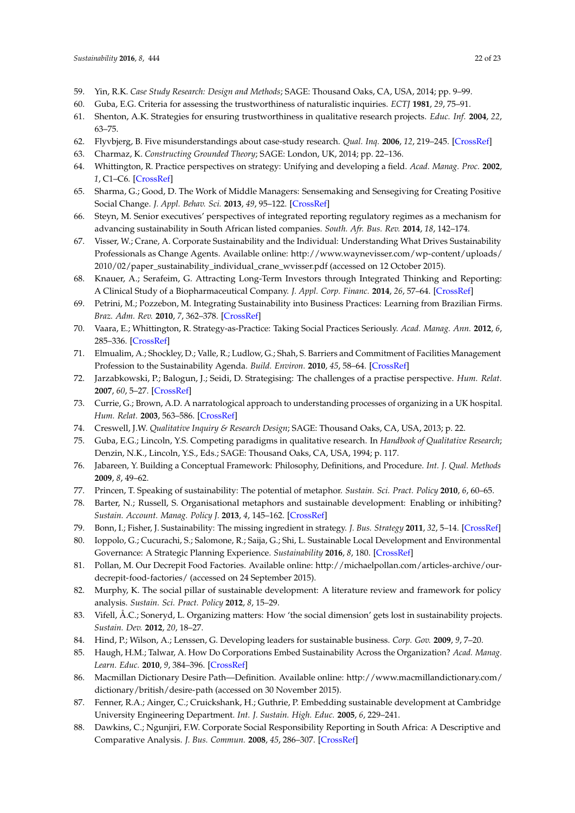- <span id="page-21-0"></span>59. Yin, R.K. *Case Study Research: Design and Methods*; SAGE: Thousand Oaks, CA, USA, 2014; pp. 9–99.
- <span id="page-21-1"></span>60. Guba, E.G. Criteria for assessing the trustworthiness of naturalistic inquiries. *ECTJ* **1981**, *29*, 75–91.
- <span id="page-21-14"></span>61. Shenton, A.K. Strategies for ensuring trustworthiness in qualitative research projects. *Educ. Inf.* **2004**, *22*, 63–75.
- <span id="page-21-2"></span>62. Flyvbjerg, B. Five misunderstandings about case-study research. *Qual. Inq.* **2006**, *12*, 219–245. [\[CrossRef\]](http://dx.doi.org/10.1177/1077800405284363)
- <span id="page-21-3"></span>63. Charmaz, K. *Constructing Grounded Theory*; SAGE: London, UK, 2014; pp. 22–136.
- <span id="page-21-4"></span>64. Whittington, R. Practice perspectives on strategy: Unifying and developing a field. *Acad. Manag. Proc.* **2002**, *1*, C1–C6. [\[CrossRef\]](http://dx.doi.org/10.5465/APBPP.2002.7517994)
- <span id="page-21-8"></span>65. Sharma, G.; Good, D. The Work of Middle Managers: Sensemaking and Sensegiving for Creating Positive Social Change. *J. Appl. Behav. Sci.* **2013**, *49*, 95–122. [\[CrossRef\]](http://dx.doi.org/10.1177/0021886312471375)
- <span id="page-21-29"></span>66. Steyn, M. Senior executives' perspectives of integrated reporting regulatory regimes as a mechanism for advancing sustainability in South African listed companies. *South. Afr. Bus. Rev.* **2014**, *18*, 142–174.
- <span id="page-21-5"></span>67. Visser, W.; Crane, A. Corporate Sustainability and the Individual: Understanding What Drives Sustainability Professionals as Change Agents. Available online: [http://www.waynevisser.com/wp-content/uploads/](http://www.waynevisser.com/wp-content/uploads/2010/02/paper_sustainability_individual_crane_wvisser.pdf) [2010/02/paper\\_sustainability\\_individual\\_crane\\_wvisser.pdf](http://www.waynevisser.com/wp-content/uploads/2010/02/paper_sustainability_individual_crane_wvisser.pdf) (accessed on 12 October 2015).
- <span id="page-21-6"></span>68. Knauer, A.; Serafeim, G. Attracting Long-Term Investors through Integrated Thinking and Reporting: A Clinical Study of a Biopharmaceutical Company. *J. Appl. Corp. Financ.* **2014**, *26*, 57–64. [\[CrossRef\]](http://dx.doi.org/10.1111/jacf.12067)
- <span id="page-21-7"></span>69. Petrini, M.; Pozzebon, M. Integrating Sustainability into Business Practices: Learning from Brazilian Firms. *Braz. Adm. Rev.* **2010**, *7*, 362–378. [\[CrossRef\]](http://dx.doi.org/10.1590/S1807-76922010000400004)
- <span id="page-21-9"></span>70. Vaara, E.; Whittington, R. Strategy-as-Practice: Taking Social Practices Seriously. *Acad. Manag. Ann.* **2012**, *6*, 285–336. [\[CrossRef\]](http://dx.doi.org/10.1080/19416520.2012.672039)
- <span id="page-21-10"></span>71. Elmualim, A.; Shockley, D.; Valle, R.; Ludlow, G.; Shah, S. Barriers and Commitment of Facilities Management Profession to the Sustainability Agenda. *Build. Environ.* **2010**, *45*, 58–64. [\[CrossRef\]](http://dx.doi.org/10.1016/j.buildenv.2009.05.002)
- <span id="page-21-11"></span>72. Jarzabkowski, P.; Balogun, J.; Seidi, D. Strategising: The challenges of a practise perspective. *Hum. Relat.* **2007**, *60*, 5–27. [\[CrossRef\]](http://dx.doi.org/10.1177/0018726707075703)
- <span id="page-21-12"></span>73. Currie, G.; Brown, A.D. A narratological approach to understanding processes of organizing in a UK hospital. *Hum. Relat.* **2003**, 563–586. [\[CrossRef\]](http://dx.doi.org/10.1177/0018726703056005003)
- <span id="page-21-13"></span>74. Creswell, J.W. *Qualitative Inquiry & Research Design*; SAGE: Thousand Oaks, CA, USA, 2013; p. 22.
- <span id="page-21-15"></span>75. Guba, E.G.; Lincoln, Y.S. Competing paradigms in qualitative research. In *Handbook of Qualitative Research*; Denzin, N.K., Lincoln, Y.S., Eds.; SAGE: Thousand Oaks, CA, USA, 1994; p. 117.
- <span id="page-21-16"></span>76. Jabareen, Y. Building a Conceptual Framework: Philosophy, Definitions, and Procedure. *Int. J. Qual. Methods* **2009**, *8*, 49–62.
- <span id="page-21-17"></span>77. Princen, T. Speaking of sustainability: The potential of metaphor. *Sustain. Sci. Pract. Policy* **2010**, *6*, 60–65.
- <span id="page-21-18"></span>78. Barter, N.; Russell, S. Organisational metaphors and sustainable development: Enabling or inhibiting? *Sustain. Account. Manag. Policy J.* **2013**, *4*, 145–162. [\[CrossRef\]](http://dx.doi.org/10.1108/SAMPJ-Jan-2012-0002)
- <span id="page-21-19"></span>79. Bonn, I.; Fisher, J. Sustainability: The missing ingredient in strategy. *J. Bus. Strategy* **2011**, *32*, 5–14. [\[CrossRef\]](http://dx.doi.org/10.1108/02756661111100274)
- <span id="page-21-20"></span>80. Ioppolo, G.; Cucurachi, S.; Salomone, R.; Saija, G.; Shi, L. Sustainable Local Development and Environmental Governance: A Strategic Planning Experience. *Sustainability* **2016**, *8*, 180. [\[CrossRef\]](http://dx.doi.org/10.3390/su8020180)
- <span id="page-21-21"></span>81. Pollan, M. Our Decrepit Food Factories. Available online: [http://michaelpollan.com/articles-archive/our](http://michaelpollan.com/articles-archive/our-decrepit-food-factories/)[decrepit-food-factories/](http://michaelpollan.com/articles-archive/our-decrepit-food-factories/) (accessed on 24 September 2015).
- <span id="page-21-22"></span>82. Murphy, K. The social pillar of sustainable development: A literature review and framework for policy analysis. *Sustain. Sci. Pract. Policy* **2012**, *8*, 15–29.
- <span id="page-21-23"></span>83. Vifell, Å.C.; Soneryd, L. Organizing matters: How 'the social dimension' gets lost in sustainability projects. *Sustain. Dev.* **2012**, *20*, 18–27.
- <span id="page-21-24"></span>84. Hind, P.; Wilson, A.; Lenssen, G. Developing leaders for sustainable business. *Corp. Gov.* **2009**, *9*, 7–20.
- <span id="page-21-25"></span>85. Haugh, H.M.; Talwar, A. How Do Corporations Embed Sustainability Across the Organization? *Acad. Manag. Learn. Educ.* **2010**, *9*, 384–396. [\[CrossRef\]](http://dx.doi.org/10.5465/AMLE.2010.53791822)
- <span id="page-21-26"></span>86. Macmillan Dictionary Desire Path—Definition. Available online: [http://www.macmillandictionary.com/](http://www.macmillandictionary.com/dictionary/british/desire-path) [dictionary/british/desire-path](http://www.macmillandictionary.com/dictionary/british/desire-path) (accessed on 30 November 2015).
- <span id="page-21-27"></span>87. Fenner, R.A.; Ainger, C.; Cruickshank, H.; Guthrie, P. Embedding sustainable development at Cambridge University Engineering Department. *Int. J. Sustain. High. Educ.* **2005**, *6*, 229–241.
- <span id="page-21-28"></span>88. Dawkins, C.; Ngunjiri, F.W. Corporate Social Responsibility Reporting in South Africa: A Descriptive and Comparative Analysis. *J. Bus. Commun.* **2008**, *45*, 286–307. [\[CrossRef\]](http://dx.doi.org/10.1177/0021943608317111)